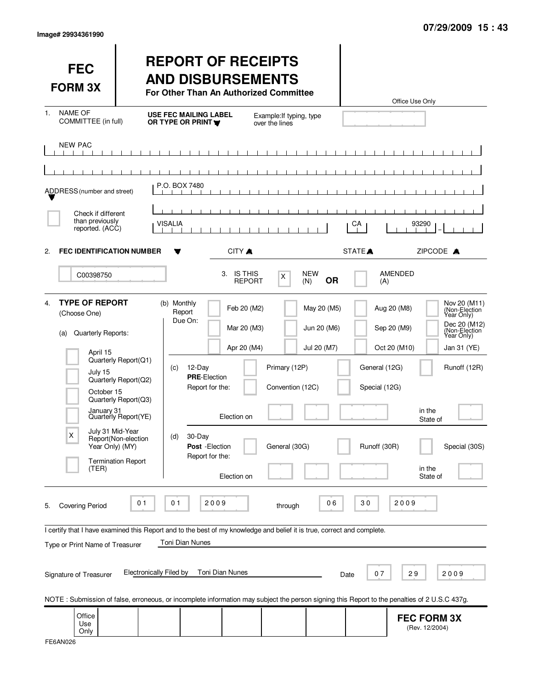| <b>FEC</b><br><b>FORM 3X</b>                                                                                                                                                     |                                                                                                                                                  | <b>REPORT OF RECEIPTS</b><br><b>AND DISBURSEMENTS</b><br>For Other Than An Authorized Committee                                                                                                                                                                                                                             |                                                                                  |                                           | Office Use Only                                                                                                                          |                                                                                                                                                         |
|----------------------------------------------------------------------------------------------------------------------------------------------------------------------------------|--------------------------------------------------------------------------------------------------------------------------------------------------|-----------------------------------------------------------------------------------------------------------------------------------------------------------------------------------------------------------------------------------------------------------------------------------------------------------------------------|----------------------------------------------------------------------------------|-------------------------------------------|------------------------------------------------------------------------------------------------------------------------------------------|---------------------------------------------------------------------------------------------------------------------------------------------------------|
| <b>NAME OF</b><br>1.<br>COMMITTEE (in full)                                                                                                                                      |                                                                                                                                                  | <b>USE FEC MAILING LABEL</b><br>OR TYPE OR PRINT                                                                                                                                                                                                                                                                            | Example: If typing, type<br>over the lines                                       |                                           |                                                                                                                                          |                                                                                                                                                         |
| <b>NEW PAC</b>                                                                                                                                                                   |                                                                                                                                                  |                                                                                                                                                                                                                                                                                                                             |                                                                                  |                                           |                                                                                                                                          |                                                                                                                                                         |
| ADDRESS (number and street)                                                                                                                                                      |                                                                                                                                                  | P.O. BOX 7480                                                                                                                                                                                                                                                                                                               |                                                                                  |                                           |                                                                                                                                          |                                                                                                                                                         |
| Check if different<br>than previously<br>reported. (ACC)                                                                                                                         |                                                                                                                                                  | <b>VISALIA</b>                                                                                                                                                                                                                                                                                                              |                                                                                  | CA                                        | 93290                                                                                                                                    |                                                                                                                                                         |
| <b>FEC IDENTIFICATION NUMBER</b><br>2.                                                                                                                                           |                                                                                                                                                  | CITY A<br>╺                                                                                                                                                                                                                                                                                                                 |                                                                                  | STATE <sup>A</sup>                        |                                                                                                                                          | ZIPCODE A                                                                                                                                               |
| C00398750                                                                                                                                                                        |                                                                                                                                                  | 3.                                                                                                                                                                                                                                                                                                                          | <b>IS THIS</b><br>X<br><b>REPORT</b><br>(N)                                      | <b>NEW</b><br><b>OR</b>                   | <b>AMENDED</b><br>(A)                                                                                                                    |                                                                                                                                                         |
| <b>TYPE OF REPORT</b><br>4.<br>(Choose One)<br>Quarterly Reports:<br>(a)<br>April 15<br>July 15<br>October 15<br>January 31<br>July 31 Mid-Year<br>X<br>Year Only) (MY)<br>(TER) | Quarterly Report(Q1)<br>Quarterly Report(Q2)<br>Quarterly Report(Q3)<br>Quarterly Report(YE)<br>Report(Non-election<br><b>Termination Report</b> | (b) Monthly<br>Report<br>Due On:<br>Apr 20 (M4)<br>12-Day<br>(C)<br><b>PRE-Election</b><br>Report for the:<br>Election on<br>30-Day<br>(d)<br>Post - Election<br>Report for the:<br>Election on                                                                                                                             | Feb 20 (M2)<br>Mar 20 (M3)<br>Primary (12P)<br>Convention (12C)<br>General (30G) | May 20 (M5)<br>Jun 20 (M6)<br>Jul 20 (M7) | Aug 20 (M8)<br>Sep 20 (M9)<br>Oct 20 (M10)<br>General (12G)<br>Special (12G)<br>in the<br>State of<br>Runoff (30R)<br>in the<br>State of | Nov 20 (M11)<br>(Non-Election <sup>1</sup><br>Year Only)<br>Dec 20 (M12)<br>(Non-Election<br>Year Only)<br>Jan 31 (YE)<br>Runoff (12R)<br>Special (30S) |
| <b>Covering Period</b><br>5.<br>Type or Print Name of Treasurer<br>Signature of Treasurer                                                                                        | 0 <sub>1</sub><br>Electronically Filed by                                                                                                        | 01<br>2009<br>I certify that I have examined this Report and to the best of my knowledge and belief it is true, correct and complete.<br>Toni Dian Nunes<br>Toni Dian Nunes<br>NOTE: Submission of false, erroneous, or incomplete information may subject the person signing this Report to the penalties of 2 U.S.C 437g. | through                                                                          | 06<br>30<br>Date                          | 2009<br>29<br>07                                                                                                                         | 2009                                                                                                                                                    |
| Office<br>Use<br>Only                                                                                                                                                            |                                                                                                                                                  |                                                                                                                                                                                                                                                                                                                             |                                                                                  |                                           | <b>FEC FORM 3X</b><br>(Rev. 12/2004)                                                                                                     |                                                                                                                                                         |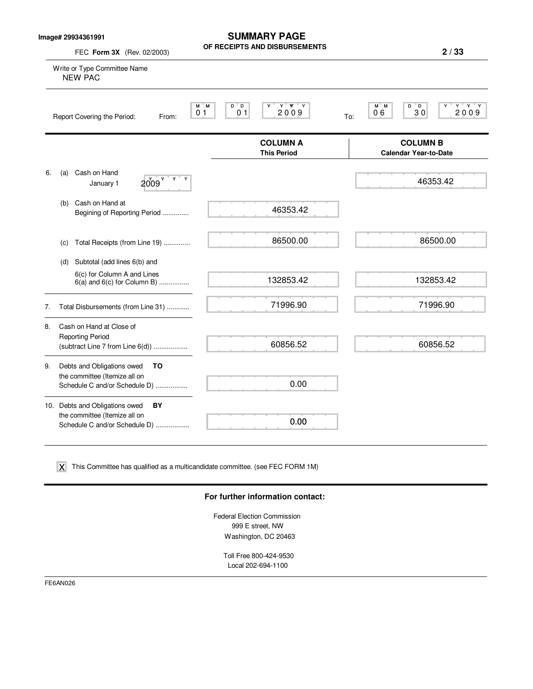**Image# 29934361991**

**SUMMARY PAGE OF RECEIPTS AND DISBURSEMENTS**

**2 / 33**

|    | FEC Form 3X (Rev. 02/2003)                                                                             | <b>NEVEILIS WIAD NISBAUSEMEMIS</b>                                                   | 2/33                                                      |
|----|--------------------------------------------------------------------------------------------------------|--------------------------------------------------------------------------------------|-----------------------------------------------------------|
|    | Write or Type Committee Name<br><b>NEW PAC</b>                                                         |                                                                                      |                                                           |
|    | Report Covering the Period:<br>From:                                                                   | $Y'$ $Y'$ $Y$<br>$D^*D$<br>М<br>" M<br>Y<br>2009<br>0 <sub>1</sub><br>0 <sub>1</sub> | $Y$ $Y$ $Y$<br>M M<br>D D<br>Y<br>06<br>30<br>2009<br>To: |
|    |                                                                                                        | <b>COLUMN A</b><br><b>This Period</b>                                                | <b>COLUMN B</b><br><b>Calendar Year-to-Date</b>           |
| 6. | Cash on Hand<br>(a)<br>Y<br>2009 <sup>Y</sup><br>Υ<br>January 1                                        |                                                                                      | 46353.42                                                  |
|    | Cash on Hand at<br>(b)<br>Begining of Reporting Period                                                 | 46353.42                                                                             |                                                           |
|    | Total Receipts (from Line 19)<br>(c)                                                                   | 86500.00                                                                             | 86500.00                                                  |
|    | Subtotal (add lines 6(b) and<br>(d)                                                                    |                                                                                      |                                                           |
|    | 6(c) for Column A and Lines<br>$6(a)$ and $6(c)$ for Column B)                                         | 132853.42                                                                            | 132853.42                                                 |
| 7. | Total Disbursements (from Line 31)                                                                     | 71996.90                                                                             | 71996.90                                                  |
| 8. | Cash on Hand at Close of<br><b>Reporting Period</b><br>(subtract Line 7 from Line 6(d))                | 60856.52                                                                             | 60856.52                                                  |
| 9. | Debts and Obligations owed<br>TO<br>the committee (Itemize all on<br>Schedule C and/or Schedule D)     | 0.00                                                                                 |                                                           |
|    | 10. Debts and Obligations owed<br>BY<br>the committee (Itemize all on<br>Schedule C and/or Schedule D) | 0.00                                                                                 |                                                           |

 $\boldsymbol{\mathsf{X}}$  This Committee has qualified as a multicandidate committee. (see FEC FORM 1M)

#### **For further information contact:**

Federal Election Commission 999 E street, NW Washington, DC 20463

Toll Free 800-424-9530 Local 202-694-1100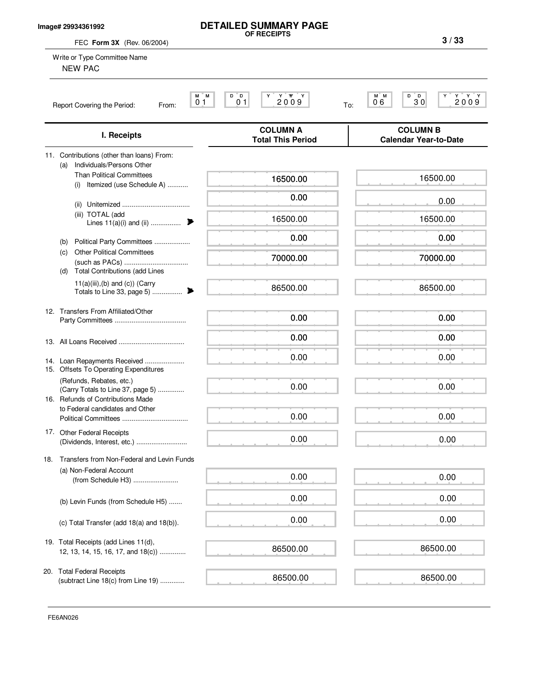#### **Image# 29934361992**

# **DETAILED SUMMARY PAGE OF RECEIPTS**

**3 / 33**

| FEC Form 3X (Rev. 06/2004)                                                                         | 3/33                                        |                                                                                                                                                                 |
|----------------------------------------------------------------------------------------------------|---------------------------------------------|-----------------------------------------------------------------------------------------------------------------------------------------------------------------|
| Write or Type Committee Name<br><b>NEW PAC</b>                                                     |                                             |                                                                                                                                                                 |
| M M<br>0 <sub>1</sub><br>Report Covering the Period:<br>From:                                      | D D<br>2009<br>0 <sub>1</sub>               | D<br>$\begin{array}{c} \mathbf{Y} \quad \mathbf{Y} \quad \mathbf{Y} \\ \mathbf{2} \mathbf{0} \mathbf{0} \mathbf{9} \end{array}$<br>M M<br>ΓD<br>30<br>06<br>To: |
| I. Receipts                                                                                        | <b>COLUMN A</b><br><b>Total This Period</b> | <b>COLUMN B</b><br><b>Calendar Year-to-Date</b>                                                                                                                 |
| 11. Contributions (other than loans) From:<br>Individuals/Persons Other<br>(a)                     |                                             |                                                                                                                                                                 |
| <b>Than Political Committees</b><br>Itemized (use Schedule A)<br>(i)                               | 16500.00                                    | 16500.00                                                                                                                                                        |
|                                                                                                    | 0.00                                        | 0.00                                                                                                                                                            |
| (iii) TOTAL (add<br>Lines $11(a)(i)$ and (ii)                                                      | 16500.00                                    | 16500.00                                                                                                                                                        |
| Political Party Committees<br>(b)                                                                  | 0.00                                        | 0.00                                                                                                                                                            |
| <b>Other Political Committees</b><br>(c)<br><b>Total Contributions (add Lines</b><br>(d)           | 70000.00                                    | 70000.00                                                                                                                                                        |
| $11(a)(iii),(b)$ and $(c)$ ) (Carry<br>Totals to Line 33, page 5)<br>▶                             | 86500.00                                    | 86500.00                                                                                                                                                        |
| 12. Transfers From Affiliated/Other                                                                | 0.00                                        | 0.00                                                                                                                                                            |
|                                                                                                    | 0.00                                        | 0.00                                                                                                                                                            |
| 14. Loan Repayments Received<br>15. Offsets To Operating Expenditures                              | 0.00                                        | 0.00                                                                                                                                                            |
| (Refunds, Rebates, etc.)<br>(Carry Totals to Line 37, page 5)<br>16. Refunds of Contributions Made | 0.00                                        | 0.00                                                                                                                                                            |
| to Federal candidates and Other                                                                    | 0.00                                        | 0.00                                                                                                                                                            |
| 17. Other Federal Receipts<br>(Dividends, Interest, etc.)                                          | 0.00                                        | 0.00                                                                                                                                                            |
| Transfers from Non-Federal and Levin Funds<br>18.                                                  |                                             |                                                                                                                                                                 |
| (a) Non-Federal Account<br>(from Schedule H3)                                                      | 0.00                                        | 0.00                                                                                                                                                            |
| (b) Levin Funds (from Schedule H5)                                                                 | 0.00                                        | 0.00                                                                                                                                                            |
| (c) Total Transfer (add 18(a) and 18(b)).                                                          | 0.00                                        | 0.00                                                                                                                                                            |
| 19. Total Receipts (add Lines 11(d),<br>12, 13, 14, 15, 16, 17, and 18(c))                         | 86500.00                                    | 86500.00                                                                                                                                                        |
| 20. Total Federal Receipts<br>(subtract Line 18(c) from Line 19)                                   | 86500.00                                    | 86500.00                                                                                                                                                        |

FE6AN026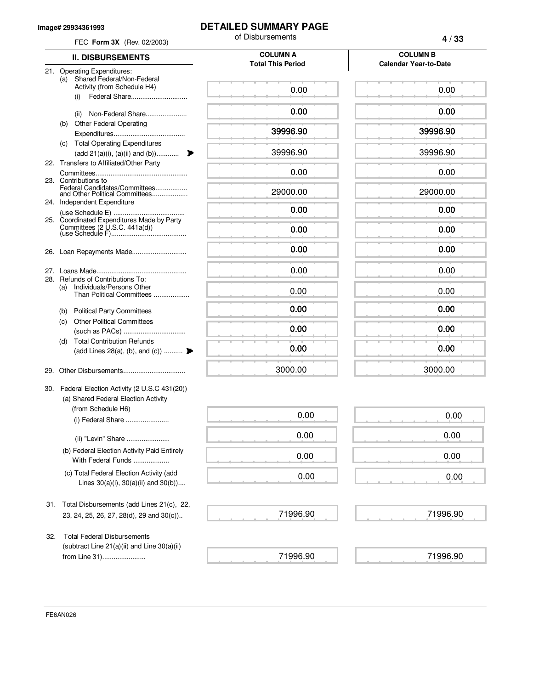#### **Image# 29934361993**

### **DETAILED SUMMARY PAGE**

of Disbursements FEC **Form 3X** (Rev. 02/2003)

|  | ×<br>٧<br>×<br>۰. |
|--|-------------------|
|--|-------------------|

| <b>II. DISBURSEMENTS</b>                                                                               | <b>COLUMN A</b><br><b>Total This Period</b> | <b>COLUMN B</b><br><b>Calendar Year-to-Date</b> |
|--------------------------------------------------------------------------------------------------------|---------------------------------------------|-------------------------------------------------|
| 21. Operating Expenditures:<br>Shared Federal/Non-Federal<br>(a)<br>Activity (from Schedule H4)<br>(i) | 0.00                                        | 0.00                                            |
| Non-Federal Share<br>(ii)                                                                              | 0.00                                        | 0.00                                            |
| <b>Other Federal Operating</b><br>(b)                                                                  |                                             |                                                 |
|                                                                                                        | 39996.90                                    | 39996.90                                        |
| <b>Total Operating Expenditures</b><br>(C)<br>$(\text{add } 21(a)(i), (a)(ii) \text{ and } (b))$<br>₱  | 39996.90                                    | 39996.90                                        |
| 22. Transfers to Affiliated/Other Party                                                                |                                             |                                                 |
| 23. Contributions to                                                                                   | 0.00                                        | 0.00                                            |
| Federal Candidates/Committees<br>and Other Political Committees                                        | 29000.00                                    | 29000.00                                        |
| 24. Independent Expenditure                                                                            | 0.00                                        | 0.00                                            |
| 25. Coordinated Expenditures Made by Party                                                             |                                             |                                                 |
| Committees $(2 \cup S.C. 441a(d))$                                                                     | 0.00                                        | 0.00                                            |
| Loan Repayments Made<br>26.                                                                            | 0.00                                        | 0.00                                            |
| 27.                                                                                                    | 0.00                                        | 0.00                                            |
| 28. Refunds of Contributions To:<br>Individuals/Persons Other<br>(a)<br>Than Political Committees      | 0.00                                        | 0.00                                            |
| <b>Political Party Committees</b><br>(b)                                                               | 0.00                                        | 0.00                                            |
| <b>Other Political Committees</b><br>(C)                                                               | 0.00                                        | 0.00                                            |
| <b>Total Contribution Refunds</b><br>(d)                                                               |                                             |                                                 |
| (add Lines 28(a), (b), and (c))                                                                        | 0.00                                        | 0.00                                            |
|                                                                                                        | 3000.00                                     | 3000.00                                         |
| Federal Election Activity (2 U.S.C 431(20))<br>30.<br>(a) Shared Federal Election Activity             |                                             |                                                 |
| (from Schedule H6)<br>(i) Federal Share                                                                | 0.00                                        | 0.00                                            |
| (ii) "Levin" Share                                                                                     | 0.00                                        | 0.00                                            |
| (b) Federal Election Activity Paid Entirely<br>With Federal Funds                                      | 0.00                                        | 0.00                                            |
| (c) Total Federal Election Activity (add<br>Lines $30(a)(i)$ , $30(a)(ii)$ and $30(b)$ )               | 0.00                                        | 0.00                                            |
| 31. Total Disbursements (add Lines 21(c), 22,                                                          |                                             |                                                 |
| 23, 24, 25, 26, 27, 28(d), 29 and 30(c))                                                               | 71996.90                                    | 71996.90                                        |
| <b>Total Federal Disbursements</b><br>32.<br>(subtract Line 21(a)(ii) and Line 30(a)(ii)               |                                             |                                                 |
| from Line 31)                                                                                          | 71996.90                                    | 71996.90                                        |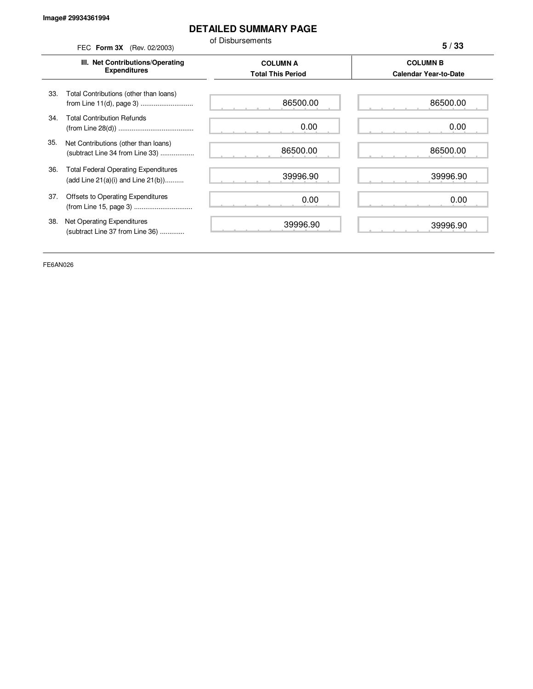### **DETAILED SUMMARY PAGE**

of Disbursements FEC **Form 3X** (Rev. 02/2003)

**5 / 33**

|     | III. Net Contributions/Operating<br><b>Expenditures</b>                                | <b>COLUMN A</b><br><b>Total This Period</b> | <b>COLUMN B</b><br><b>Calendar Year-to-Date</b> |
|-----|----------------------------------------------------------------------------------------|---------------------------------------------|-------------------------------------------------|
| 33. | Total Contributions (other than loans)                                                 | 86500.00                                    | 86500.00                                        |
| 34. | <b>Total Contribution Refunds</b>                                                      | 0.00                                        | 0.00                                            |
| 35. | Net Contributions (other than loans)<br>(subtract Line 34 from Line 33)                | 86500.00                                    | 86500.00                                        |
| 36. | <b>Total Federal Operating Expenditures</b><br>(add Line $21(a)(i)$ and Line $21(b)$ ) | 39996.90                                    | 39996.90                                        |
| 37. | Offsets to Operating Expenditures                                                      | 0.00                                        | 0.00                                            |
| 38. | Net Operating Expenditures<br>(subtract Line 37 from Line 36)                          | 39996.90                                    | 39996.90                                        |

FE6AN026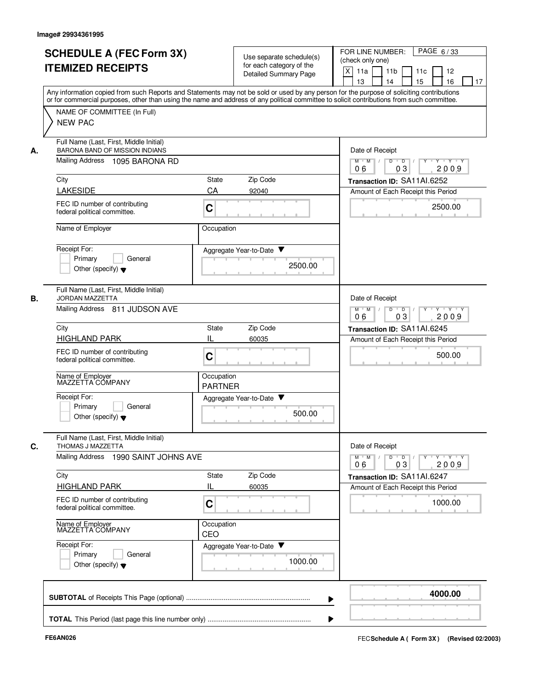| <b>SCHEDULE A (FEC Form 3X)</b> |                                                                                                                                                                                                                                                                                         | Use separate schedule(s)                                |                              | PAGE 6/33<br>FOR LINE NUMBER:<br>(check only one)                                                                                                                                                                                                                                                                                                                                                                                      |
|---------------------------------|-----------------------------------------------------------------------------------------------------------------------------------------------------------------------------------------------------------------------------------------------------------------------------------------|---------------------------------------------------------|------------------------------|----------------------------------------------------------------------------------------------------------------------------------------------------------------------------------------------------------------------------------------------------------------------------------------------------------------------------------------------------------------------------------------------------------------------------------------|
|                                 | <b>ITEMIZED RECEIPTS</b>                                                                                                                                                                                                                                                                |                                                         | for each category of the     |                                                                                                                                                                                                                                                                                                                                                                                                                                        |
|                                 |                                                                                                                                                                                                                                                                                         |                                                         | <b>Detailed Summary Page</b> | X<br>11a<br>11 <sub>b</sub><br>11c<br>12                                                                                                                                                                                                                                                                                                                                                                                               |
|                                 |                                                                                                                                                                                                                                                                                         |                                                         |                              | 15<br>16<br>13<br>14<br>17                                                                                                                                                                                                                                                                                                                                                                                                             |
|                                 | Any information copied from such Reports and Statements may not be sold or used by any person for the purpose of soliciting contributions<br>or for commercial purposes, other than using the name and address of any political committee to solicit contributions from such committee. |                                                         |                              |                                                                                                                                                                                                                                                                                                                                                                                                                                        |
|                                 |                                                                                                                                                                                                                                                                                         |                                                         |                              |                                                                                                                                                                                                                                                                                                                                                                                                                                        |
|                                 | NAME OF COMMITTEE (In Full)                                                                                                                                                                                                                                                             |                                                         |                              |                                                                                                                                                                                                                                                                                                                                                                                                                                        |
|                                 | <b>NEW PAC</b>                                                                                                                                                                                                                                                                          |                                                         |                              |                                                                                                                                                                                                                                                                                                                                                                                                                                        |
|                                 | Full Name (Last, First, Middle Initial)                                                                                                                                                                                                                                                 |                                                         |                              |                                                                                                                                                                                                                                                                                                                                                                                                                                        |
| А.                              | <b>BARONA BAND OF MISSION INDIANS</b>                                                                                                                                                                                                                                                   | Date of Receipt                                         |                              |                                                                                                                                                                                                                                                                                                                                                                                                                                        |
|                                 | Mailing Address 1095 BARONA RD                                                                                                                                                                                                                                                          |                                                         |                              | $M$ $M$<br>$D$ $D$ $I$<br>$Y$ <sup>U</sup><br>Y 'Y 'Y<br>03<br>2009<br>06                                                                                                                                                                                                                                                                                                                                                              |
|                                 | City                                                                                                                                                                                                                                                                                    | <b>State</b>                                            | Zip Code                     | Transaction ID: SA11AI.6252                                                                                                                                                                                                                                                                                                                                                                                                            |
|                                 | <b>LAKESIDE</b>                                                                                                                                                                                                                                                                         | CA                                                      | 92040                        |                                                                                                                                                                                                                                                                                                                                                                                                                                        |
|                                 |                                                                                                                                                                                                                                                                                         |                                                         |                              | Amount of Each Receipt this Period                                                                                                                                                                                                                                                                                                                                                                                                     |
|                                 | FEC ID number of contributing                                                                                                                                                                                                                                                           | C                                                       |                              | 2500.00                                                                                                                                                                                                                                                                                                                                                                                                                                |
|                                 | federal political committee.                                                                                                                                                                                                                                                            |                                                         |                              |                                                                                                                                                                                                                                                                                                                                                                                                                                        |
|                                 | Name of Employer                                                                                                                                                                                                                                                                        | Occupation                                              |                              |                                                                                                                                                                                                                                                                                                                                                                                                                                        |
|                                 |                                                                                                                                                                                                                                                                                         |                                                         |                              |                                                                                                                                                                                                                                                                                                                                                                                                                                        |
|                                 | Receipt For:                                                                                                                                                                                                                                                                            |                                                         | Aggregate Year-to-Date       |                                                                                                                                                                                                                                                                                                                                                                                                                                        |
|                                 | Primary<br>General                                                                                                                                                                                                                                                                      |                                                         |                              |                                                                                                                                                                                                                                                                                                                                                                                                                                        |
|                                 | Other (specify) $\blacktriangledown$                                                                                                                                                                                                                                                    |                                                         | 2500.00                      |                                                                                                                                                                                                                                                                                                                                                                                                                                        |
|                                 |                                                                                                                                                                                                                                                                                         |                                                         |                              |                                                                                                                                                                                                                                                                                                                                                                                                                                        |
|                                 | Full Name (Last, First, Middle Initial)                                                                                                                                                                                                                                                 |                                                         |                              |                                                                                                                                                                                                                                                                                                                                                                                                                                        |
| В.                              | <b>JORDAN MAZZETTA</b>                                                                                                                                                                                                                                                                  |                                                         |                              | Date of Receipt                                                                                                                                                                                                                                                                                                                                                                                                                        |
|                                 | Mailing Address 811 JUDSON AVE                                                                                                                                                                                                                                                          | $M$ $M$<br>D<br>$\overline{D}$<br>Y Y Y Y<br>$\sqrt{ }$ |                              |                                                                                                                                                                                                                                                                                                                                                                                                                                        |
|                                 |                                                                                                                                                                                                                                                                                         |                                                         |                              | 2009<br>06<br>03                                                                                                                                                                                                                                                                                                                                                                                                                       |
|                                 | Zip Code<br>City<br>State                                                                                                                                                                                                                                                               |                                                         |                              | Transaction ID: SA11AI.6245                                                                                                                                                                                                                                                                                                                                                                                                            |
|                                 | <b>HIGHLAND PARK</b>                                                                                                                                                                                                                                                                    | IL                                                      | 60035                        | Amount of Each Receipt this Period                                                                                                                                                                                                                                                                                                                                                                                                     |
|                                 | FEC ID number of contributing                                                                                                                                                                                                                                                           | C                                                       |                              | 500.00                                                                                                                                                                                                                                                                                                                                                                                                                                 |
|                                 | federal political committee.                                                                                                                                                                                                                                                            |                                                         |                              |                                                                                                                                                                                                                                                                                                                                                                                                                                        |
|                                 |                                                                                                                                                                                                                                                                                         | Occupation                                              |                              |                                                                                                                                                                                                                                                                                                                                                                                                                                        |
|                                 | Name of Employer<br>MAZZETTA COMPANY                                                                                                                                                                                                                                                    | <b>PARTNER</b>                                          |                              |                                                                                                                                                                                                                                                                                                                                                                                                                                        |
|                                 | Receipt For:                                                                                                                                                                                                                                                                            |                                                         | Aggregate Year-to-Date ▼     |                                                                                                                                                                                                                                                                                                                                                                                                                                        |
|                                 | Primary<br>General                                                                                                                                                                                                                                                                      |                                                         |                              |                                                                                                                                                                                                                                                                                                                                                                                                                                        |
|                                 | Other (specify) $\blacktriangledown$                                                                                                                                                                                                                                                    |                                                         | 500.00                       |                                                                                                                                                                                                                                                                                                                                                                                                                                        |
|                                 |                                                                                                                                                                                                                                                                                         |                                                         |                              |                                                                                                                                                                                                                                                                                                                                                                                                                                        |
| C.                              | Full Name (Last, First, Middle Initial)<br>THOMAS J MAZZETTA                                                                                                                                                                                                                            |                                                         |                              | Date of Receipt                                                                                                                                                                                                                                                                                                                                                                                                                        |
|                                 | Mailing Address 1990 SAINT JOHNS AVE                                                                                                                                                                                                                                                    |                                                         |                              | $\begin{array}{c c c c c c c c} \hline \textbf{C} & \textbf{C} & \textbf{C} & \textbf{C} & \textbf{C} & \textbf{C} & \textbf{C} \\ \hline \textbf{C} & \textbf{C} & \textbf{C} & \textbf{C} & \textbf{C} & \textbf{C} & \textbf{C} & \textbf{C} \\ \hline \textbf{C} & \textbf{C} & \textbf{C} & \textbf{C} & \textbf{C} & \textbf{C} & \textbf{C} & \textbf{C} & \textbf{C} & \textbf{C} \\ \hline \textbf{C} & \textbf{C$<br>$M$ $M$ |
|                                 |                                                                                                                                                                                                                                                                                         |                                                         |                              | 2009<br>06<br>03                                                                                                                                                                                                                                                                                                                                                                                                                       |
|                                 | City                                                                                                                                                                                                                                                                                    | State                                                   | Zip Code                     | Transaction ID: SA11AI.6247                                                                                                                                                                                                                                                                                                                                                                                                            |
|                                 | <b>HIGHLAND PARK</b>                                                                                                                                                                                                                                                                    | Ш                                                       | 60035                        | Amount of Each Receipt this Period                                                                                                                                                                                                                                                                                                                                                                                                     |
|                                 |                                                                                                                                                                                                                                                                                         |                                                         |                              |                                                                                                                                                                                                                                                                                                                                                                                                                                        |
|                                 | FEC ID number of contributing<br>federal political committee.                                                                                                                                                                                                                           | C                                                       |                              | 1000.00                                                                                                                                                                                                                                                                                                                                                                                                                                |
|                                 |                                                                                                                                                                                                                                                                                         |                                                         |                              |                                                                                                                                                                                                                                                                                                                                                                                                                                        |
|                                 | Name of Employer<br>MAZZETTA COMPANY                                                                                                                                                                                                                                                    | Occupation                                              |                              |                                                                                                                                                                                                                                                                                                                                                                                                                                        |
|                                 |                                                                                                                                                                                                                                                                                         | CEO                                                     |                              |                                                                                                                                                                                                                                                                                                                                                                                                                                        |
|                                 | Receipt For:<br>Primary<br>General                                                                                                                                                                                                                                                      |                                                         | Aggregate Year-to-Date       |                                                                                                                                                                                                                                                                                                                                                                                                                                        |
|                                 |                                                                                                                                                                                                                                                                                         |                                                         | 1000.00                      |                                                                                                                                                                                                                                                                                                                                                                                                                                        |
|                                 | Other (specify) $\blacktriangledown$                                                                                                                                                                                                                                                    |                                                         |                              |                                                                                                                                                                                                                                                                                                                                                                                                                                        |
|                                 |                                                                                                                                                                                                                                                                                         |                                                         |                              |                                                                                                                                                                                                                                                                                                                                                                                                                                        |
|                                 |                                                                                                                                                                                                                                                                                         |                                                         |                              | 4000.00                                                                                                                                                                                                                                                                                                                                                                                                                                |
|                                 |                                                                                                                                                                                                                                                                                         |                                                         |                              |                                                                                                                                                                                                                                                                                                                                                                                                                                        |
|                                 |                                                                                                                                                                                                                                                                                         |                                                         |                              |                                                                                                                                                                                                                                                                                                                                                                                                                                        |
|                                 |                                                                                                                                                                                                                                                                                         |                                                         |                              |                                                                                                                                                                                                                                                                                                                                                                                                                                        |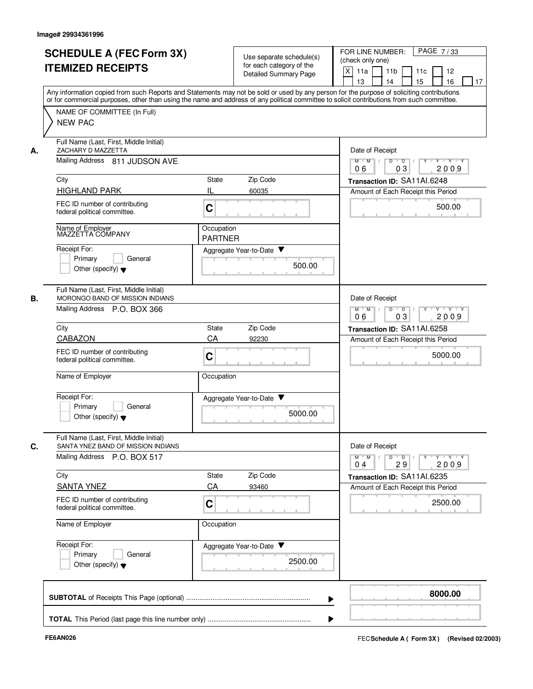|    | <b>SCHEDULE A (FEC Form 3X)</b><br><b>ITEMIZED RECEIPTS</b>                                                                                                                                                                                                                             | Use separate schedule(s)<br>for each category of the<br>Detailed Summary Page | PAGE 7/33<br>FOR LINE NUMBER:<br>(check only one)<br>X<br>11a<br>11 <sub>b</sub><br>11c<br>12<br>15<br>13<br>14<br>16<br>17 |
|----|-----------------------------------------------------------------------------------------------------------------------------------------------------------------------------------------------------------------------------------------------------------------------------------------|-------------------------------------------------------------------------------|-----------------------------------------------------------------------------------------------------------------------------|
|    | Any information copied from such Reports and Statements may not be sold or used by any person for the purpose of soliciting contributions<br>or for commercial purposes, other than using the name and address of any political committee to solicit contributions from such committee. |                                                                               |                                                                                                                             |
|    | NAME OF COMMITTEE (In Full)<br><b>NEW PAC</b>                                                                                                                                                                                                                                           |                                                                               |                                                                                                                             |
| А. | Full Name (Last, First, Middle Initial)<br>ZACHARY D MAZZETTA                                                                                                                                                                                                                           | Date of Receipt                                                               |                                                                                                                             |
|    | Mailing Address 811 JUDSON AVE                                                                                                                                                                                                                                                          |                                                                               | $\overline{D}$<br>Y Y Y Y Y<br>$M$ $M$ /<br>$\overline{D}$<br>03<br>06<br>2009                                              |
|    | City                                                                                                                                                                                                                                                                                    | Zip Code<br>State                                                             | Transaction ID: SA11AI.6248                                                                                                 |
|    | <b>HIGHLAND PARK</b>                                                                                                                                                                                                                                                                    | IL<br>60035                                                                   | Amount of Each Receipt this Period                                                                                          |
|    | FEC ID number of contributing<br>federal political committee.                                                                                                                                                                                                                           | C                                                                             | 500.00                                                                                                                      |
|    | Name of Employer<br>MAZZETTA COMPANY                                                                                                                                                                                                                                                    | Occupation<br><b>PARTNER</b>                                                  |                                                                                                                             |
|    | Receipt For:<br>General                                                                                                                                                                                                                                                                 | Aggregate Year-to-Date ▼                                                      |                                                                                                                             |
|    | Primary<br>Other (specify) $\blacktriangledown$                                                                                                                                                                                                                                         | 500.00                                                                        |                                                                                                                             |
| В. | Full Name (Last, First, Middle Initial)<br>MORONGO BAND OF MISSION INDIANS                                                                                                                                                                                                              |                                                                               | Date of Receipt                                                                                                             |
|    | Mailing Address P.O. BOX 366                                                                                                                                                                                                                                                            | $M$ M<br>D<br>$Y - Y - Y$<br>$\overline{D}$<br>2009<br>06<br>03               |                                                                                                                             |
|    | City                                                                                                                                                                                                                                                                                    | Zip Code<br>State                                                             | Transaction ID: SA11AI.6258                                                                                                 |
|    | CABAZON                                                                                                                                                                                                                                                                                 | CA<br>92230                                                                   | Amount of Each Receipt this Period                                                                                          |
|    | FEC ID number of contributing<br>federal political committee.                                                                                                                                                                                                                           | C                                                                             | 5000.00                                                                                                                     |
|    | Name of Employer                                                                                                                                                                                                                                                                        | Occupation                                                                    |                                                                                                                             |
|    | Receipt For:                                                                                                                                                                                                                                                                            | Aggregate Year-to-Date                                                        |                                                                                                                             |
|    | Primary<br>General<br>Other (specify) $\blacktriangledown$                                                                                                                                                                                                                              | 5000.00                                                                       |                                                                                                                             |
| C. | Full Name (Last, First, Middle Initial)<br>SANTA YNEZ BAND OF MISSION INDIANS                                                                                                                                                                                                           |                                                                               | Date of Receipt                                                                                                             |
|    | Mailing Address P.O. BOX 517                                                                                                                                                                                                                                                            |                                                                               | $Y$ $Y$ $Y$<br>$M$ $M$ /<br>D<br>$\overline{D}$<br>Y<br>2009<br>04<br>29                                                    |
|    | City                                                                                                                                                                                                                                                                                    | Zip Code<br>State                                                             | Transaction ID: SA11Al.6235                                                                                                 |
|    | <b>SANTA YNEZ</b>                                                                                                                                                                                                                                                                       | CA<br>93460                                                                   | Amount of Each Receipt this Period                                                                                          |
|    | FEC ID number of contributing<br>federal political committee.                                                                                                                                                                                                                           | C                                                                             | 2500.00                                                                                                                     |
|    | Name of Employer                                                                                                                                                                                                                                                                        | Occupation                                                                    |                                                                                                                             |
|    | Receipt For:<br>General<br>Primary                                                                                                                                                                                                                                                      | Aggregate Year-to-Date                                                        |                                                                                                                             |
|    | Other (specify) $\blacktriangledown$                                                                                                                                                                                                                                                    | 2500.00                                                                       |                                                                                                                             |
|    |                                                                                                                                                                                                                                                                                         |                                                                               | 8000.00                                                                                                                     |
|    |                                                                                                                                                                                                                                                                                         |                                                                               |                                                                                                                             |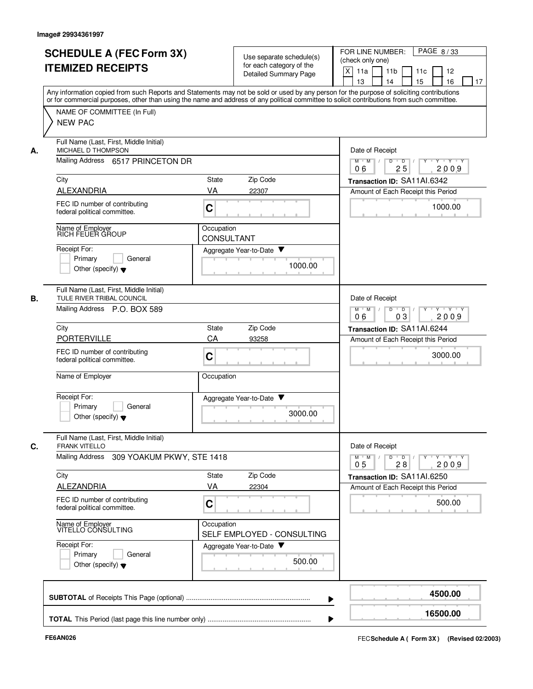| <b>SCHEDULE A (FEC Form 3X)</b><br><b>ITEMIZED RECEIPTS</b>                                                           | Use separate schedule(s)<br>for each category of the<br><b>Detailed Summary Page</b>                                                                                                                                                                                                    | FOR LINE NUMBER:<br>PAGE 8/33<br>(check only one)<br>X<br>11a<br>11 <sub>b</sub><br>11 <sub>c</sub><br>12<br>13<br>14<br>15<br>16<br>17 |
|-----------------------------------------------------------------------------------------------------------------------|-----------------------------------------------------------------------------------------------------------------------------------------------------------------------------------------------------------------------------------------------------------------------------------------|-----------------------------------------------------------------------------------------------------------------------------------------|
| NAME OF COMMITTEE (In Full)<br><b>NEW PAC</b>                                                                         | Any information copied from such Reports and Statements may not be sold or used by any person for the purpose of soliciting contributions<br>or for commercial purposes, other than using the name and address of any political committee to solicit contributions from such committee. |                                                                                                                                         |
| Full Name (Last, First, Middle Initial)<br>MICHAEL D THOMPSON<br>А.<br>Mailing Address 6517 PRINCETON DR              |                                                                                                                                                                                                                                                                                         | Date of Receipt<br>$M$ $M$ /<br>D<br>$\bullet$ D $\prime$<br>Y<br>$Y \cup Y \cup Y$                                                     |
|                                                                                                                       |                                                                                                                                                                                                                                                                                         | 25<br>2009<br>06                                                                                                                        |
| City<br>ALEXANDRIA                                                                                                    | Zip Code<br>State<br>VA<br>22307                                                                                                                                                                                                                                                        | Transaction ID: SA11AI.6342<br>Amount of Each Receipt this Period                                                                       |
| FEC ID number of contributing<br>federal political committee.                                                         | C                                                                                                                                                                                                                                                                                       | 1000.00                                                                                                                                 |
| Name of Employer<br>RICH FEUER GROUP                                                                                  | Occupation<br><b>CONSULTANT</b>                                                                                                                                                                                                                                                         |                                                                                                                                         |
| Receipt For:<br>Primary<br>General<br>Other (specify) $\blacktriangledown$                                            | Aggregate Year-to-Date<br>1000.00                                                                                                                                                                                                                                                       |                                                                                                                                         |
| Full Name (Last, First, Middle Initial)<br>TULE RIVER TRIBAL COUNCIL<br>В.                                            |                                                                                                                                                                                                                                                                                         | Date of Receipt                                                                                                                         |
| Mailing Address P.O. BOX 589                                                                                          |                                                                                                                                                                                                                                                                                         | $Y - Y - Y$<br>$M$ $M$<br>D<br>$\overline{D}$<br>03<br>2009<br>06                                                                       |
| City                                                                                                                  | Zip Code<br>State                                                                                                                                                                                                                                                                       | Transaction ID: SA11AI.6244                                                                                                             |
| <b>PORTERVILLE</b><br>FEC ID number of contributing<br>federal political committee.                                   | CA<br>93258<br>C                                                                                                                                                                                                                                                                        | Amount of Each Receipt this Period<br>3000.00                                                                                           |
| Name of Employer                                                                                                      | Occupation                                                                                                                                                                                                                                                                              |                                                                                                                                         |
| Receipt For:<br>Primary<br>General<br>Other (specify) $\blacktriangledown$                                            | Aggregate Year-to-Date<br>3000.00                                                                                                                                                                                                                                                       |                                                                                                                                         |
| Full Name (Last, First, Middle Initial)<br>C.<br><b>FRANK VITELLO</b><br>Mailing Address<br>309 YOAKUM PKWY, STE 1418 |                                                                                                                                                                                                                                                                                         | Date of Receipt<br>$Y - Y - Y$<br>$\overline{D}$<br>$M$ M<br>D<br>Y                                                                     |
|                                                                                                                       |                                                                                                                                                                                                                                                                                         | 2009<br>0 <sub>5</sub><br>28                                                                                                            |
| City<br><b>ALEZANDRIA</b>                                                                                             | Zip Code<br>State<br>VA<br>22304                                                                                                                                                                                                                                                        | Transaction ID: SA11AI.6250<br>Amount of Each Receipt this Period                                                                       |
| FEC ID number of contributing<br>federal political committee.                                                         | $\mathbf C$                                                                                                                                                                                                                                                                             | 500.00                                                                                                                                  |
| Name of Employer<br>VITELLO CONSULTING                                                                                | Occupation<br>SELF EMPLOYED - CONSULTING                                                                                                                                                                                                                                                |                                                                                                                                         |
| Receipt For:<br>Primary<br>General<br>Other (specify) $\blacktriangledown$                                            | Aggregate Year-to-Date<br>500.00                                                                                                                                                                                                                                                        |                                                                                                                                         |
|                                                                                                                       |                                                                                                                                                                                                                                                                                         | 4500.00                                                                                                                                 |
|                                                                                                                       |                                                                                                                                                                                                                                                                                         | 16500.00                                                                                                                                |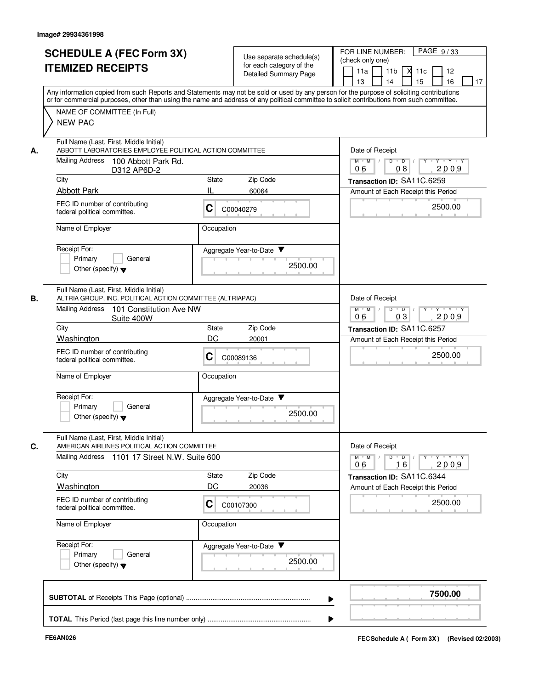|    | <b>SCHEDULE A (FEC Form 3X)</b><br><b>ITEMIZED RECEIPTS</b>                                                                                                                                                                                                                                                                                                                                                                                                                              |                | Use separate schedule(s)<br>for each category of the<br>Detailed Summary Page | PAGE 9/33<br>FOR LINE NUMBER:<br>(check only one)<br>11 <sub>b</sub><br>11a<br>X <sup>11c</sup><br>12<br>13<br>14<br>15<br>16<br>17              |
|----|------------------------------------------------------------------------------------------------------------------------------------------------------------------------------------------------------------------------------------------------------------------------------------------------------------------------------------------------------------------------------------------------------------------------------------------------------------------------------------------|----------------|-------------------------------------------------------------------------------|--------------------------------------------------------------------------------------------------------------------------------------------------|
|    | Any information copied from such Reports and Statements may not be sold or used by any person for the purpose of soliciting contributions<br>or for commercial purposes, other than using the name and address of any political committee to solicit contributions from such committee.<br>NAME OF COMMITTEE (In Full)<br><b>NEW PAC</b><br>Full Name (Last, First, Middle Initial)<br>ABBOTT LABORATORIES EMPLOYEE POLITICAL ACTION COMMITTEE<br>Mailing Address<br>100 Abbott Park Rd. |                |                                                                               |                                                                                                                                                  |
| А. |                                                                                                                                                                                                                                                                                                                                                                                                                                                                                          |                |                                                                               | Date of Receipt<br>$Y$ $Y$ $Y$<br>$\overline{D}$<br>$\blacksquare$ $\blacksquare$ $\blacksquare$ $\blacksquare$ $\blacksquare$<br>Y<br>$M$ $M$ / |
|    | D312 AP6D-2                                                                                                                                                                                                                                                                                                                                                                                                                                                                              |                |                                                                               | 2009<br>06<br>08                                                                                                                                 |
|    | City<br><b>Abbott Park</b>                                                                                                                                                                                                                                                                                                                                                                                                                                                               | State<br>IL    | Zip Code<br>60064                                                             | Transaction ID: SA11C.6259                                                                                                                       |
|    | FEC ID number of contributing<br>federal political committee.                                                                                                                                                                                                                                                                                                                                                                                                                            | С              | C00040279                                                                     | Amount of Each Receipt this Period<br>2500.00                                                                                                    |
|    | Name of Employer                                                                                                                                                                                                                                                                                                                                                                                                                                                                         | Occupation     |                                                                               |                                                                                                                                                  |
|    | Receipt For:<br>Primary<br>General<br>Other (specify) $\blacktriangledown$                                                                                                                                                                                                                                                                                                                                                                                                               |                | Aggregate Year-to-Date<br>2500.00                                             |                                                                                                                                                  |
| В. | Full Name (Last, First, Middle Initial)<br>ALTRIA GROUP, INC. POLITICAL ACTION COMMITTEE (ALTRIAPAC)                                                                                                                                                                                                                                                                                                                                                                                     |                |                                                                               | Date of Receipt                                                                                                                                  |
|    | <b>Mailing Address</b><br>101 Constitution Ave NW<br>Suite 400W                                                                                                                                                                                                                                                                                                                                                                                                                          |                |                                                                               | $M$ $M$ $/$<br>D<br>Y Y Y Y<br>$\blacksquare$ D $\blacksquare$ /<br>$Y$ <sup>U</sup><br>03<br>2009<br>06                                         |
|    | City                                                                                                                                                                                                                                                                                                                                                                                                                                                                                     | State          | Zip Code                                                                      | Transaction ID: SA11C.6257                                                                                                                       |
|    | Washington<br>FEC ID number of contributing<br>federal political committee.                                                                                                                                                                                                                                                                                                                                                                                                              | DC<br>С        | 20001<br>C00089136                                                            | Amount of Each Receipt this Period<br>2500.00                                                                                                    |
|    | Name of Employer                                                                                                                                                                                                                                                                                                                                                                                                                                                                         | Occupation     |                                                                               |                                                                                                                                                  |
|    | Receipt For:<br>Primary<br>General<br>Other (specify) $\blacktriangledown$                                                                                                                                                                                                                                                                                                                                                                                                               |                | Aggregate Year-to-Date<br>2500.00                                             |                                                                                                                                                  |
| C. | Full Name (Last, First, Middle Initial)<br>AMERICAN AIRLINES POLITICAL ACTION COMMITTEE                                                                                                                                                                                                                                                                                                                                                                                                  |                |                                                                               | Date of Receipt                                                                                                                                  |
|    | Mailing Address 1101 17 Street N.W. Suite 600                                                                                                                                                                                                                                                                                                                                                                                                                                            |                |                                                                               | $D$ $D$ $/$<br>$M = M$<br><u> Y FY FY FY</u><br>2009<br>06<br>16                                                                                 |
|    | City                                                                                                                                                                                                                                                                                                                                                                                                                                                                                     | State          | Zip Code                                                                      | Transaction ID: SA11C.6344                                                                                                                       |
|    | Washington                                                                                                                                                                                                                                                                                                                                                                                                                                                                               | DC             | 20036                                                                         | Amount of Each Receipt this Period                                                                                                               |
|    | FEC ID number of contributing<br>federal political committee.                                                                                                                                                                                                                                                                                                                                                                                                                            | С<br>C00107300 |                                                                               | 2500.00                                                                                                                                          |
|    | Name of Employer<br>Occupation                                                                                                                                                                                                                                                                                                                                                                                                                                                           |                |                                                                               |                                                                                                                                                  |
|    | Receipt For:<br>Primary<br>General<br>Other (specify) $\blacktriangledown$                                                                                                                                                                                                                                                                                                                                                                                                               |                | Aggregate Year-to-Date<br>2500.00                                             |                                                                                                                                                  |
|    |                                                                                                                                                                                                                                                                                                                                                                                                                                                                                          |                |                                                                               | 7500.00                                                                                                                                          |
|    |                                                                                                                                                                                                                                                                                                                                                                                                                                                                                          |                |                                                                               |                                                                                                                                                  |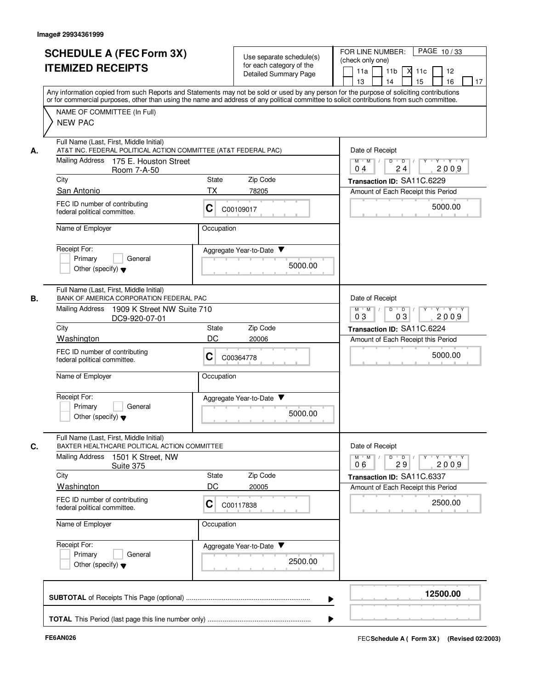|    | <b>SCHEDULE A (FEC Form 3X)</b><br><b>ITEMIZED RECEIPTS</b>                                                                                                                                                                                                                                                            |             | Use separate schedule(s)<br>for each category of the<br><b>Detailed Summary Page</b> | PAGE 10/33<br>FOR LINE NUMBER:<br>(check only one)<br>11 <sub>b</sub><br>11a<br>12<br>11c<br>15<br>16<br>13<br>14<br>17 |
|----|------------------------------------------------------------------------------------------------------------------------------------------------------------------------------------------------------------------------------------------------------------------------------------------------------------------------|-------------|--------------------------------------------------------------------------------------|-------------------------------------------------------------------------------------------------------------------------|
|    | Any information copied from such Reports and Statements may not be sold or used by any person for the purpose of soliciting contributions<br>or for commercial purposes, other than using the name and address of any political committee to solicit contributions from such committee.<br>NAME OF COMMITTEE (In Full) |             |                                                                                      |                                                                                                                         |
|    | <b>NEW PAC</b>                                                                                                                                                                                                                                                                                                         |             |                                                                                      |                                                                                                                         |
| А. | Full Name (Last, First, Middle Initial)<br>AT&T INC. FEDERAL POLITICAL ACTION COMMITTEE (AT&T FEDERAL PAC)                                                                                                                                                                                                             |             |                                                                                      | Date of Receipt                                                                                                         |
|    | <b>Mailing Address</b><br>175 E. Houston Street<br>Room 7-A-50                                                                                                                                                                                                                                                         |             |                                                                                      | $D$ $D$ $I$<br>$Y^+$<br>Y TYTEY<br>$M$ $M$ /<br>24<br>2009<br>0 <sub>4</sub>                                            |
|    | City                                                                                                                                                                                                                                                                                                                   | State       | Zip Code                                                                             | Transaction ID: SA11C.6229                                                                                              |
|    | San Antonio<br>FEC ID number of contributing<br>federal political committee.                                                                                                                                                                                                                                           | ТX<br>С     | 78205<br>C00109017                                                                   | Amount of Each Receipt this Period<br>5000.00                                                                           |
|    | Name of Employer                                                                                                                                                                                                                                                                                                       | Occupation  |                                                                                      |                                                                                                                         |
|    | Receipt For:<br>Primary<br>General<br>Other (specify) $\blacktriangledown$                                                                                                                                                                                                                                             |             | Aggregate Year-to-Date<br>5000.00                                                    |                                                                                                                         |
| В. | Full Name (Last, First, Middle Initial)<br>BANK OF AMERICA CORPORATION FEDERAL PAC                                                                                                                                                                                                                                     |             |                                                                                      | Date of Receipt                                                                                                         |
|    | <b>Mailing Address</b><br>1909 K Street NW Suite 710<br>DC9-920-07-01                                                                                                                                                                                                                                                  |             |                                                                                      | $Y - Y - Y$<br>$M$ $M$ /<br>D<br>$\overline{D}$<br>2009<br>03<br>03                                                     |
|    | City<br>Washington                                                                                                                                                                                                                                                                                                     | State<br>DC | Zip Code<br>20006                                                                    | Transaction ID: SA11C.6224                                                                                              |
|    | FEC ID number of contributing<br>federal political committee.                                                                                                                                                                                                                                                          | С           | C00364778                                                                            | Amount of Each Receipt this Period<br>5000.00                                                                           |
|    | Name of Employer                                                                                                                                                                                                                                                                                                       | Occupation  |                                                                                      |                                                                                                                         |
|    | Receipt For:<br>Primary<br>General<br>Other (specify) $\blacktriangledown$                                                                                                                                                                                                                                             |             | Aggregate Year-to-Date ▼<br>5000.00                                                  |                                                                                                                         |
| C. | Full Name (Last, First, Middle Initial)<br>BAXTER HEALTHCARE POLITICAL ACTION COMMITTEE<br><b>Mailing Address</b><br>1501 K Street, NW<br>Suite 375                                                                                                                                                                    |             |                                                                                      | Date of Receipt<br>D<br>$M$ $M$ /<br>$\overline{D}$ /<br>$Y - Y - Y$<br>Y<br>06<br>29<br>2009                           |
|    | City                                                                                                                                                                                                                                                                                                                   | State       | Zip Code                                                                             | Transaction ID: SA11C.6337                                                                                              |
|    | <b>Washington</b><br>FEC ID number of contributing<br>federal political committee.                                                                                                                                                                                                                                     | DC<br>С     | 20005<br>C00117838                                                                   | Amount of Each Receipt this Period<br>2500.00                                                                           |
|    | Name of Employer<br>Occupation                                                                                                                                                                                                                                                                                         |             |                                                                                      |                                                                                                                         |
|    | Receipt For:<br>Primary<br>General<br>Other (specify) $\blacktriangledown$                                                                                                                                                                                                                                             |             | Aggregate Year-to-Date<br>2500.00                                                    |                                                                                                                         |
|    |                                                                                                                                                                                                                                                                                                                        |             |                                                                                      | 12500.00                                                                                                                |
|    |                                                                                                                                                                                                                                                                                                                        |             |                                                                                      |                                                                                                                         |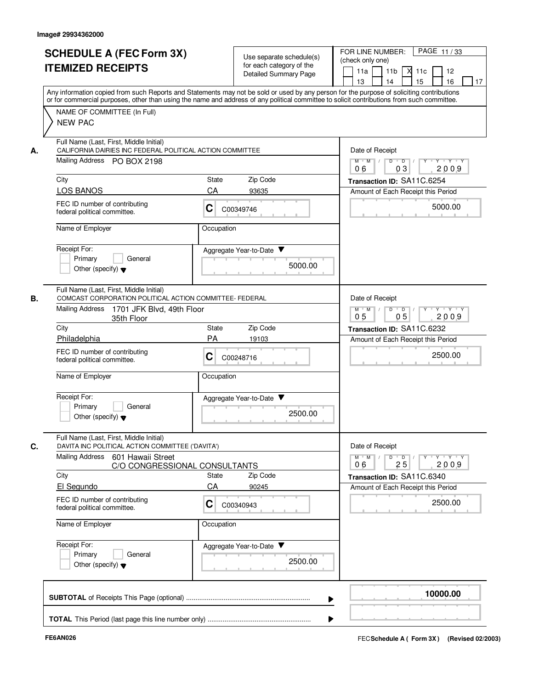|                |                                                                                                                                     |              | <b>Detailed Summary Page</b>        | 11 <sub>b</sub><br>11a<br>м<br>12<br>11c<br>14<br>15<br>13<br>16<br>17<br>Any information copied from such Reports and Statements may not be sold or used by any person for the purpose of soliciting contributions |
|----------------|-------------------------------------------------------------------------------------------------------------------------------------|--------------|-------------------------------------|---------------------------------------------------------------------------------------------------------------------------------------------------------------------------------------------------------------------|
| <b>NEW PAC</b> | NAME OF COMMITTEE (In Full)                                                                                                         |              |                                     | or for commercial purposes, other than using the name and address of any political committee to solicit contributions from such committee.                                                                          |
| А.             | Full Name (Last, First, Middle Initial)<br>CALIFORNIA DAIRIES INC FEDERAL POLITICAL ACTION COMMITTEE<br>Mailing Address PO BOX 2198 |              |                                     | Date of Receipt<br>$Y$ $Y$ $Y$<br>$M$ $M$ /<br>$D$ $D$ $/$<br>$Y$ <sup>U</sup><br>03<br>2009<br>06                                                                                                                  |
| City           |                                                                                                                                     | State        | Zip Code                            | Transaction ID: SA11C.6254                                                                                                                                                                                          |
|                | <b>LOS BANOS</b>                                                                                                                    | CA           | 93635                               | Amount of Each Receipt this Period                                                                                                                                                                                  |
|                | FEC ID number of contributing<br>federal political committee.                                                                       | C            | C00349746                           | 5000.00                                                                                                                                                                                                             |
|                | Name of Employer                                                                                                                    | Occupation   |                                     |                                                                                                                                                                                                                     |
| Receipt For:   | Primary<br>General<br>Other (specify) $\blacktriangledown$                                                                          |              | Aggregate Year-to-Date<br>5000.00   |                                                                                                                                                                                                                     |
| В.             | Full Name (Last, First, Middle Initial)<br>COMCAST CORPORATION POLITICAL ACTION COMMITTEE- FEDERAL                                  |              |                                     | Date of Receipt                                                                                                                                                                                                     |
|                | <b>Mailing Address</b><br>1701 JFK Blvd, 49th Floor<br>35th Floor                                                                   |              |                                     | Y Y Y Y<br>$M$ $M$ /<br>D<br>$\overline{D}$<br>$Y$ <sup><math>\top</math></sup><br>0 <sub>5</sub><br>05<br>2009                                                                                                     |
| City           |                                                                                                                                     | <b>State</b> | Zip Code                            | Transaction ID: SA11C.6232                                                                                                                                                                                          |
|                | Philadelphia                                                                                                                        | PA           | 19103                               | Amount of Each Receipt this Period                                                                                                                                                                                  |
|                | FEC ID number of contributing<br>federal political committee.                                                                       | С            | C00248716                           | 2500.00                                                                                                                                                                                                             |
|                | Name of Employer                                                                                                                    | Occupation   |                                     |                                                                                                                                                                                                                     |
| Receipt For:   | Primary<br>General<br>Other (specify) $\blacktriangledown$                                                                          |              | Aggregate Year-to-Date ▼<br>2500.00 |                                                                                                                                                                                                                     |
| C.             | Full Name (Last, First, Middle Initial)<br>DAVITA INC POLITICAL ACTION COMMITTEE ('DAVITA')                                         |              |                                     | Date of Receipt                                                                                                                                                                                                     |
|                | <b>Mailing Address</b><br>601 Hawaii Street<br>C/O CONGRESSIONAL CONSULTANTS                                                        |              |                                     | $M = M$<br>$D$ $D$ $/$<br>$Y$ <sup>U</sup><br>$Y + Y + Y$<br>2009<br>06<br>25                                                                                                                                       |
| City           |                                                                                                                                     | State        | Zip Code                            | Transaction ID: SA11C.6340                                                                                                                                                                                          |
|                | El Segundo<br>FEC ID number of contributing<br>federal political committee.                                                         | CA<br>С      | 90245<br>C00340943                  | Amount of Each Receipt this Period<br>2500.00                                                                                                                                                                       |
|                | Name of Employer                                                                                                                    | Occupation   |                                     |                                                                                                                                                                                                                     |
| Receipt For:   | Primary<br>General<br>Other (specify) $\blacktriangledown$                                                                          |              | Aggregate Year-to-Date<br>2500.00   |                                                                                                                                                                                                                     |
|                |                                                                                                                                     |              |                                     | 10000.00                                                                                                                                                                                                            |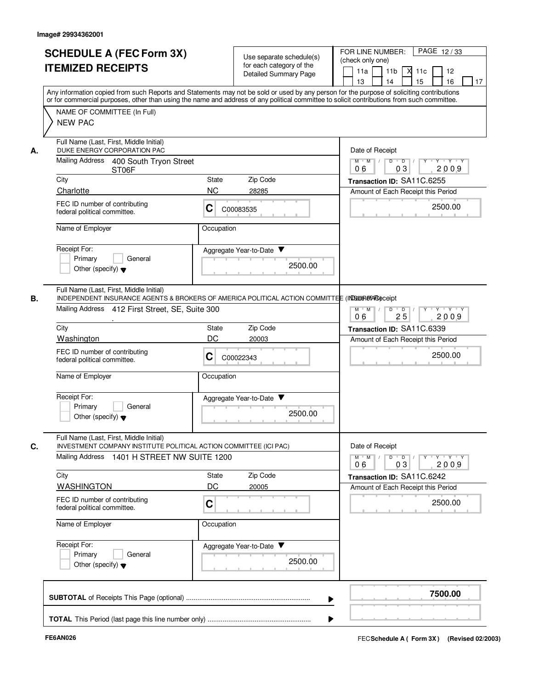|    | <b>SCHEDULE A (FEC Form 3X)</b><br><b>ITEMIZED RECEIPTS</b>                                                                                                                                                                                                                                                                              | Use separate schedule(s)<br>for each category of the<br>Detailed Summary Page                    | PAGE 12/33<br>FOR LINE NUMBER:<br>(check only one)<br>$X$ 11 $c$<br>11a<br>11 <sub>b</sub><br>12<br>15<br>13<br>14<br>16<br>17 |
|----|------------------------------------------------------------------------------------------------------------------------------------------------------------------------------------------------------------------------------------------------------------------------------------------------------------------------------------------|--------------------------------------------------------------------------------------------------|--------------------------------------------------------------------------------------------------------------------------------|
|    | Any information copied from such Reports and Statements may not be sold or used by any person for the purpose of soliciting contributions<br>or for commercial purposes, other than using the name and address of any political committee to solicit contributions from such committee.<br>NAME OF COMMITTEE (In Full)<br><b>NEW PAC</b> |                                                                                                  |                                                                                                                                |
| А. | Full Name (Last, First, Middle Initial)<br>DUKE ENERGY CORPORATION PAC<br>Mailing Address<br>400 South Tryon Street                                                                                                                                                                                                                      |                                                                                                  | Date of Receipt<br>$M$ $M$ /<br>D<br>$\overline{D}$ /<br>$Y$ <sup>U</sup><br>Y Y Y Y<br>2009<br>06<br>03                       |
|    | ST06F<br>City                                                                                                                                                                                                                                                                                                                            | Zip Code<br>State                                                                                | Transaction ID: SA11C.6255                                                                                                     |
|    | Charlotte                                                                                                                                                                                                                                                                                                                                | <b>NC</b><br>28285                                                                               | Amount of Each Receipt this Period                                                                                             |
|    | FEC ID number of contributing<br>federal political committee.                                                                                                                                                                                                                                                                            | C<br>C00083535                                                                                   | 2500.00                                                                                                                        |
|    | Name of Employer                                                                                                                                                                                                                                                                                                                         | Occupation                                                                                       |                                                                                                                                |
|    | Receipt For:<br>Primary<br>General<br>Other (specify) $\blacktriangledown$                                                                                                                                                                                                                                                               | Aggregate Year-to-Date ▼<br>2500.00                                                              |                                                                                                                                |
| В. | Full Name (Last, First, Middle Initial)<br>Mailing Address 412 First Street, SE, Suite 300                                                                                                                                                                                                                                               | INDEPENDENT INSURANCE AGENTS & BROKERS OF AMERICA POLITICAL ACTION COMMITTEE (INDEDEMBAGAGECEIDT | $M$ M<br>$Y - Y - Y$<br>D<br>$\overline{D}$<br>25<br>2009<br>06                                                                |
|    | City                                                                                                                                                                                                                                                                                                                                     | Zip Code<br>State                                                                                | Transaction ID: SA11C.6339                                                                                                     |
|    | Washington                                                                                                                                                                                                                                                                                                                               | DC<br>20003                                                                                      | Amount of Each Receipt this Period                                                                                             |
|    | FEC ID number of contributing<br>federal political committee.                                                                                                                                                                                                                                                                            | С<br>C00022343                                                                                   | 2500.00                                                                                                                        |
|    | Name of Employer                                                                                                                                                                                                                                                                                                                         | Occupation                                                                                       |                                                                                                                                |
|    | Receipt For:<br>Primary<br>General<br>Other (specify) $\blacktriangledown$                                                                                                                                                                                                                                                               | Aggregate Year-to-Date<br>2500.00                                                                |                                                                                                                                |
| C. | Full Name (Last, First, Middle Initial)<br>INVESTMENT COMPANY INSTITUTE POLITICAL ACTION COMMITTEE (ICI PAC)<br>Mailing Address 1401 H STREET NW SUITE 1200                                                                                                                                                                              |                                                                                                  | Date of Receipt<br>$Y - Y - Y$<br>$M$ <sup><math>+</math></sup><br>M<br>D<br>$\overline{D}$<br>2009<br>06<br>03                |
|    | City                                                                                                                                                                                                                                                                                                                                     | Zip Code<br>State                                                                                | Transaction ID: SA11C.6242                                                                                                     |
|    | <b>WASHINGTON</b>                                                                                                                                                                                                                                                                                                                        | DC<br>20005                                                                                      | Amount of Each Receipt this Period                                                                                             |
|    | FEC ID number of contributing<br>federal political committee.                                                                                                                                                                                                                                                                            | C                                                                                                | 2500.00                                                                                                                        |
|    | Name of Employer                                                                                                                                                                                                                                                                                                                         | Occupation                                                                                       |                                                                                                                                |
|    | Receipt For:<br>Primary<br>General<br>Other (specify) $\blacktriangledown$                                                                                                                                                                                                                                                               | Aggregate Year-to-Date<br>2500.00                                                                |                                                                                                                                |
|    |                                                                                                                                                                                                                                                                                                                                          |                                                                                                  | 7500.00                                                                                                                        |
|    |                                                                                                                                                                                                                                                                                                                                          |                                                                                                  |                                                                                                                                |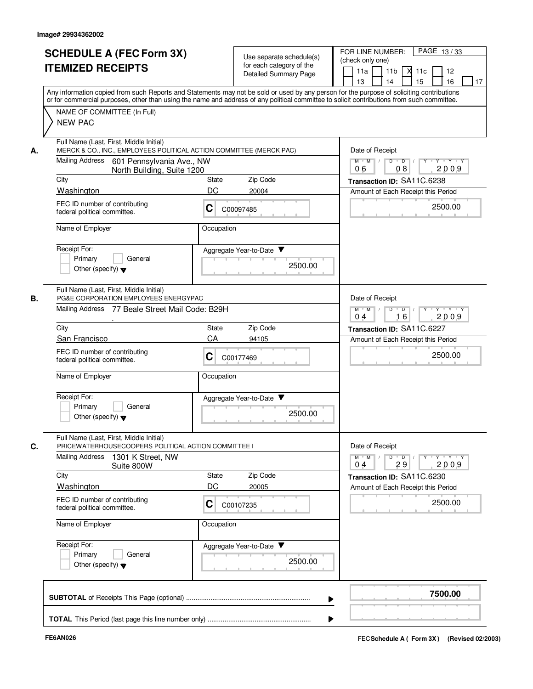|    | <b>SCHEDULE A (FEC Form 3X)</b><br><b>ITEMIZED RECEIPTS</b>                                                                                                                                                                                                                                                                              |                               | Use separate schedule(s)<br>for each category of the<br><b>Detailed Summary Page</b> | PAGE 13/33<br>FOR LINE NUMBER:<br>(check only one)<br>11 <sub>b</sub><br>12<br>11a<br>⋊<br>11c<br>13<br>14<br>15<br>16<br>17                                         |
|----|------------------------------------------------------------------------------------------------------------------------------------------------------------------------------------------------------------------------------------------------------------------------------------------------------------------------------------------|-------------------------------|--------------------------------------------------------------------------------------|----------------------------------------------------------------------------------------------------------------------------------------------------------------------|
|    | Any information copied from such Reports and Statements may not be sold or used by any person for the purpose of soliciting contributions<br>or for commercial purposes, other than using the name and address of any political committee to solicit contributions from such committee.<br>NAME OF COMMITTEE (In Full)<br><b>NEW PAC</b> |                               |                                                                                      |                                                                                                                                                                      |
| А. | Full Name (Last, First, Middle Initial)<br>MERCK & CO., INC., EMPLOYEES POLITICAL ACTION COMMITTEE (MERCK PAC)<br>Mailing Address 601 Pennsylvania Ave., NW<br>North Building, Suite 1200                                                                                                                                                |                               |                                                                                      | Date of Receipt<br>$\overline{D}$<br>$\blacksquare$ $\blacksquare$ $\blacksquare$ $\blacksquare$ $\blacksquare$<br>$Y - Y - Y$<br>$M$ $M$ /<br>Y<br>2009<br>06<br>08 |
|    | City                                                                                                                                                                                                                                                                                                                                     | Zip Code<br>State             |                                                                                      | Transaction ID: SA11C.6238                                                                                                                                           |
|    | Washington                                                                                                                                                                                                                                                                                                                               | DC<br>20004                   |                                                                                      | Amount of Each Receipt this Period                                                                                                                                   |
|    | FEC ID number of contributing<br>federal political committee.                                                                                                                                                                                                                                                                            | С<br>C00097485                |                                                                                      | 2500.00                                                                                                                                                              |
|    | Name of Employer                                                                                                                                                                                                                                                                                                                         | Occupation                    |                                                                                      |                                                                                                                                                                      |
|    | Receipt For:<br>Primary<br>General<br>Other (specify) $\blacktriangledown$                                                                                                                                                                                                                                                               | Aggregate Year-to-Date        | 2500.00                                                                              |                                                                                                                                                                      |
| В. | Full Name (Last, First, Middle Initial)<br>PG&E CORPORATION EMPLOYEES ENERGYPAC                                                                                                                                                                                                                                                          |                               |                                                                                      | Date of Receipt                                                                                                                                                      |
|    | Mailing Address<br>77 Beale Street Mail Code: B29H                                                                                                                                                                                                                                                                                       |                               |                                                                                      | D<br>Y Y Y Y<br>$M$ $M$ /<br>$\overline{D}$<br>$Y$ <sup>U</sup><br>16<br>2009<br>0 <sub>4</sub>                                                                      |
|    | City                                                                                                                                                                                                                                                                                                                                     | Zip Code<br>State             |                                                                                      | Transaction ID: SA11C.6227                                                                                                                                           |
|    | San Francisco<br>FEC ID number of contributing                                                                                                                                                                                                                                                                                           | CA<br>94105<br>C              |                                                                                      | Amount of Each Receipt this Period<br>2500.00                                                                                                                        |
|    | federal political committee.<br>Name of Employer                                                                                                                                                                                                                                                                                         | C00177469<br>Occupation       |                                                                                      |                                                                                                                                                                      |
|    |                                                                                                                                                                                                                                                                                                                                          |                               |                                                                                      |                                                                                                                                                                      |
|    | Receipt For:<br>Primary<br>General<br>Other (specify) $\blacktriangledown$                                                                                                                                                                                                                                                               | Aggregate Year-to-Date        | 2500.00                                                                              |                                                                                                                                                                      |
| C. | Full Name (Last, First, Middle Initial)<br>PRICEWATERHOUSECOOPERS POLITICAL ACTION COMMITTEE I                                                                                                                                                                                                                                           |                               |                                                                                      | Date of Receipt                                                                                                                                                      |
|    | <b>Mailing Address</b><br>1301 K Street, NW<br>Suite 800W                                                                                                                                                                                                                                                                                |                               |                                                                                      | $M = M$<br>$D$ $D$ $/$<br>$\mathsf{Y} \dashv \mathsf{Y} \dashv \mathsf{Y}$<br>$Y$ <sup>U</sup><br>2009<br>29<br>04                                                   |
|    | City                                                                                                                                                                                                                                                                                                                                     | State<br>Zip Code             |                                                                                      | Transaction ID: SA11C.6230                                                                                                                                           |
|    | Washington<br>FEC ID number of contributing<br>federal political committee.                                                                                                                                                                                                                                                              | DC<br>20005<br>С<br>C00107235 |                                                                                      | Amount of Each Receipt this Period<br>2500.00                                                                                                                        |
|    | Name of Employer                                                                                                                                                                                                                                                                                                                         | Occupation                    |                                                                                      |                                                                                                                                                                      |
|    | Receipt For:<br>Primary<br>General<br>Other (specify) $\blacktriangledown$                                                                                                                                                                                                                                                               | Aggregate Year-to-Date        | 2500.00                                                                              |                                                                                                                                                                      |
|    |                                                                                                                                                                                                                                                                                                                                          |                               |                                                                                      | 7500.00                                                                                                                                                              |
|    |                                                                                                                                                                                                                                                                                                                                          |                               |                                                                                      |                                                                                                                                                                      |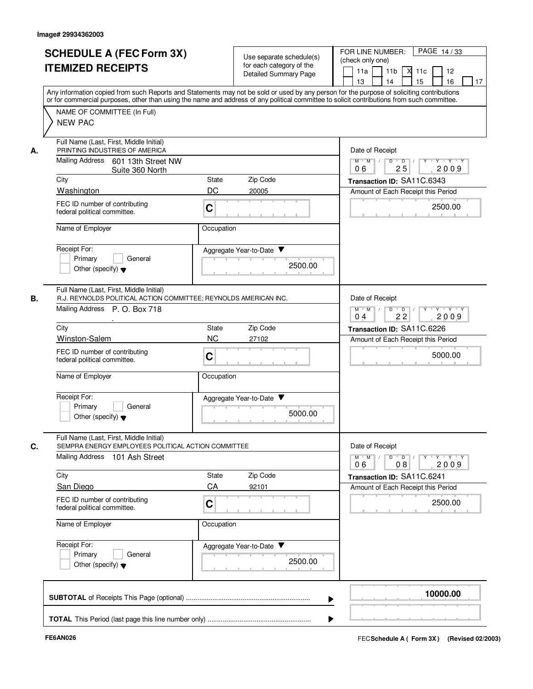|    | <b>SCHEDULE A (FEC Form 3X)</b><br><b>ITEMIZED RECEIPTS</b>                                                                                  | Use separate schedule(s)<br>for each category of the<br>Detailed Summary Page                                                                                                                                                                                                           | PAGE 14/33<br>FOR LINE NUMBER:<br>(check only one)<br>11a<br>11 <sub>b</sub><br>$X$ 11 $c$<br>12<br>15<br>16<br>13<br>14<br>17 |
|----|----------------------------------------------------------------------------------------------------------------------------------------------|-----------------------------------------------------------------------------------------------------------------------------------------------------------------------------------------------------------------------------------------------------------------------------------------|--------------------------------------------------------------------------------------------------------------------------------|
|    | NAME OF COMMITTEE (In Full)                                                                                                                  | Any information copied from such Reports and Statements may not be sold or used by any person for the purpose of soliciting contributions<br>or for commercial purposes, other than using the name and address of any political committee to solicit contributions from such committee. |                                                                                                                                |
|    | <b>NEW PAC</b><br>Full Name (Last, First, Middle Initial)                                                                                    |                                                                                                                                                                                                                                                                                         |                                                                                                                                |
| А. | PRINTING INDUSTRIES OF AMERICA<br>Mailing Address<br>601 13th Street NW                                                                      |                                                                                                                                                                                                                                                                                         | Date of Receipt<br>$M$ $M$ $/$<br>D<br>$\overline{D}$<br>$Y - Y - Y$<br>25<br>2009<br>06                                       |
|    | Suite 360 North<br>City                                                                                                                      | Zip Code<br>State                                                                                                                                                                                                                                                                       | Transaction ID: SA11C.6343                                                                                                     |
|    | Washington                                                                                                                                   | DC<br>20005                                                                                                                                                                                                                                                                             | Amount of Each Receipt this Period                                                                                             |
|    | FEC ID number of contributing<br>federal political committee.                                                                                | C                                                                                                                                                                                                                                                                                       | 2500.00                                                                                                                        |
|    | Name of Employer                                                                                                                             | Occupation                                                                                                                                                                                                                                                                              |                                                                                                                                |
|    | Receipt For:<br>Primary<br>General<br>Other (specify) $\blacktriangledown$                                                                   | Aggregate Year-to-Date<br>2500.00                                                                                                                                                                                                                                                       |                                                                                                                                |
| В. | Full Name (Last, First, Middle Initial)<br>R.J. REYNOLDS POLITICAL ACTION COMMITTEE; REYNOLDS AMERICAN INC.<br>Mailing Address P. O. Box 718 |                                                                                                                                                                                                                                                                                         | Date of Receipt<br>$M$ M<br>D<br>$\overline{D}$<br>Y Y Y Y<br>2009<br>04                                                       |
|    | City                                                                                                                                         | Zip Code<br>State                                                                                                                                                                                                                                                                       | 22<br>Transaction ID: SA11C.6226                                                                                               |
|    | Winston-Salem                                                                                                                                | <b>NC</b><br>27102                                                                                                                                                                                                                                                                      | Amount of Each Receipt this Period                                                                                             |
|    | FEC ID number of contributing<br>federal political committee.                                                                                | C                                                                                                                                                                                                                                                                                       | 5000.00                                                                                                                        |
|    | Name of Employer                                                                                                                             | Occupation                                                                                                                                                                                                                                                                              |                                                                                                                                |
|    | Receipt For:<br>Primary<br>General<br>Other (specify) $\blacktriangledown$                                                                   | Aggregate Year-to-Date<br>5000.00                                                                                                                                                                                                                                                       |                                                                                                                                |
| C. | Full Name (Last, First, Middle Initial)<br>SEMPRA ENERGY EMPLOYEES POLITICAL ACTION COMMITTEE                                                |                                                                                                                                                                                                                                                                                         | Date of Receipt                                                                                                                |
|    | Mailing Address 101 Ash Street                                                                                                               |                                                                                                                                                                                                                                                                                         | $M$ $M$<br>2009<br>06<br>08                                                                                                    |
|    | City                                                                                                                                         | Zip Code<br>State                                                                                                                                                                                                                                                                       | Transaction ID: SA11C.6241                                                                                                     |
|    | San Diego<br>FEC ID number of contributing                                                                                                   | CA<br>92101                                                                                                                                                                                                                                                                             | Amount of Each Receipt this Period<br>2500.00                                                                                  |
|    | federal political committee.                                                                                                                 | C                                                                                                                                                                                                                                                                                       |                                                                                                                                |
|    | Name of Employer                                                                                                                             | Occupation                                                                                                                                                                                                                                                                              |                                                                                                                                |
|    | Receipt For:<br>Primary<br>General<br>Other (specify) $\blacktriangledown$                                                                   | Aggregate Year-to-Date<br>2500.00                                                                                                                                                                                                                                                       |                                                                                                                                |
|    |                                                                                                                                              |                                                                                                                                                                                                                                                                                         | 10000.00                                                                                                                       |
|    |                                                                                                                                              |                                                                                                                                                                                                                                                                                         |                                                                                                                                |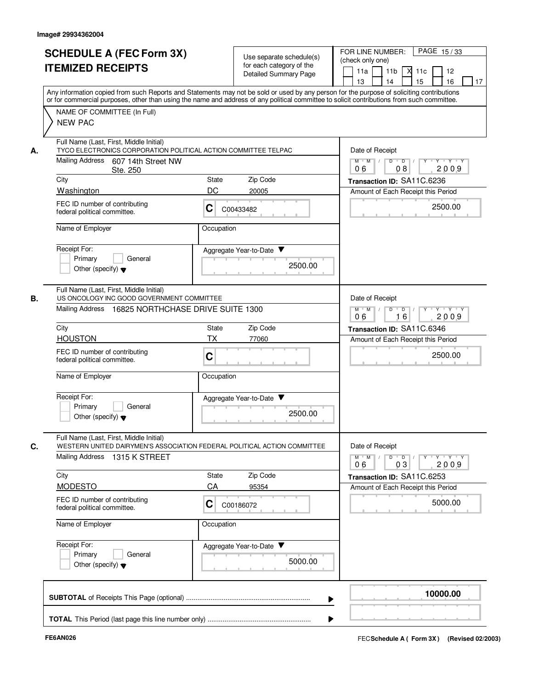|    | <b>SCHEDULE A (FEC Form 3X)</b><br><b>ITEMIZED RECEIPTS</b><br>Any information copied from such Reports and Statements may not be sold or used by any person for the purpose of soliciting contributions |             | Use separate schedule(s)<br>for each category of the<br><b>Detailed Summary Page</b> | PAGE 15/33<br>FOR LINE NUMBER:<br>(check only one)<br>11 <sub>b</sub><br>11a<br>м<br>12<br>11c<br>14<br>15<br>13<br>16<br>17 |
|----|----------------------------------------------------------------------------------------------------------------------------------------------------------------------------------------------------------|-------------|--------------------------------------------------------------------------------------|------------------------------------------------------------------------------------------------------------------------------|
|    | or for commercial purposes, other than using the name and address of any political committee to solicit contributions from such committee.<br>NAME OF COMMITTEE (In Full)<br><b>NEW PAC</b>              |             |                                                                                      |                                                                                                                              |
| А. | Full Name (Last, First, Middle Initial)<br>TYCO ELECTRONICS CORPORATION POLITICAL ACTION COMMITTEE TELPAC<br>Mailing Address 607 14th Street NW                                                          |             |                                                                                      | Date of Receipt<br>$Y$ $Y$ $Y$<br>$M$ $M$ /<br>$D$ $D$ $/$<br>$Y$ <sup>U</sup>                                               |
|    | Ste. 250                                                                                                                                                                                                 |             |                                                                                      | 2009<br>06<br>08                                                                                                             |
|    | City<br>Washington                                                                                                                                                                                       | State<br>DC | Zip Code<br>20005                                                                    | Transaction ID: SA11C.6236                                                                                                   |
|    | FEC ID number of contributing<br>federal political committee.                                                                                                                                            | С           | C00433482                                                                            | Amount of Each Receipt this Period<br>2500.00                                                                                |
|    | Name of Employer                                                                                                                                                                                         | Occupation  |                                                                                      |                                                                                                                              |
|    | Receipt For:<br>Primary<br>General<br>Other (specify) $\blacktriangledown$                                                                                                                               |             | Aggregate Year-to-Date<br>2500.00                                                    |                                                                                                                              |
| В. | Full Name (Last, First, Middle Initial)<br>US ONCOLOGY INC GOOD GOVERNMENT COMMITTEE<br>Mailing Address 16825 NORTHCHASE DRIVE SUITE 1300                                                                |             |                                                                                      | Date of Receipt<br>Y Y Y Y<br>$M$ $M$ /<br>D<br>$\blacksquare$ D $\blacksquare$ /<br>$Y$ <sup>U</sup><br>16<br>2009<br>06    |
|    | City                                                                                                                                                                                                     | State       | Zip Code                                                                             | Transaction ID: SA11C.6346                                                                                                   |
|    | <b>HOUSTON</b>                                                                                                                                                                                           | <b>TX</b>   | 77060                                                                                | Amount of Each Receipt this Period                                                                                           |
|    | FEC ID number of contributing<br>federal political committee.                                                                                                                                            | C           |                                                                                      | 2500.00                                                                                                                      |
|    | Name of Employer                                                                                                                                                                                         | Occupation  |                                                                                      |                                                                                                                              |
|    | Receipt For:<br>Primary<br>General<br>Other (specify) $\blacktriangledown$                                                                                                                               |             | Aggregate Year-to-Date ▼<br>2500.00                                                  |                                                                                                                              |
| C. | Full Name (Last, First, Middle Initial)<br>WESTERN UNITED DAIRYMEN'S ASSOCIATION FEDERAL POLITICAL ACTION COMMITTEE<br><b>Mailing Address</b><br>1315 K STREET                                           |             |                                                                                      | Date of Receipt<br>$M = M$<br>$D$ $D$ $l$<br>$Y$ <sup>U</sup><br>$Y + Y + Y$<br>2009<br>06<br>03                             |
|    | City                                                                                                                                                                                                     | State       | Zip Code                                                                             | Transaction ID: SA11C.6253                                                                                                   |
|    | <b>MODESTO</b>                                                                                                                                                                                           | CA          | 95354                                                                                | Amount of Each Receipt this Period                                                                                           |
|    | FEC ID number of contributing<br>federal political committee.                                                                                                                                            | C           | C00186072                                                                            | 5000.00                                                                                                                      |
|    | Name of Employer                                                                                                                                                                                         | Occupation  |                                                                                      |                                                                                                                              |
|    | Receipt For:<br>Primary<br>General<br>Other (specify) $\blacktriangledown$                                                                                                                               |             | Aggregate Year-to-Date<br>5000.00                                                    |                                                                                                                              |
|    |                                                                                                                                                                                                          |             |                                                                                      | 10000.00                                                                                                                     |
|    |                                                                                                                                                                                                          |             |                                                                                      |                                                                                                                              |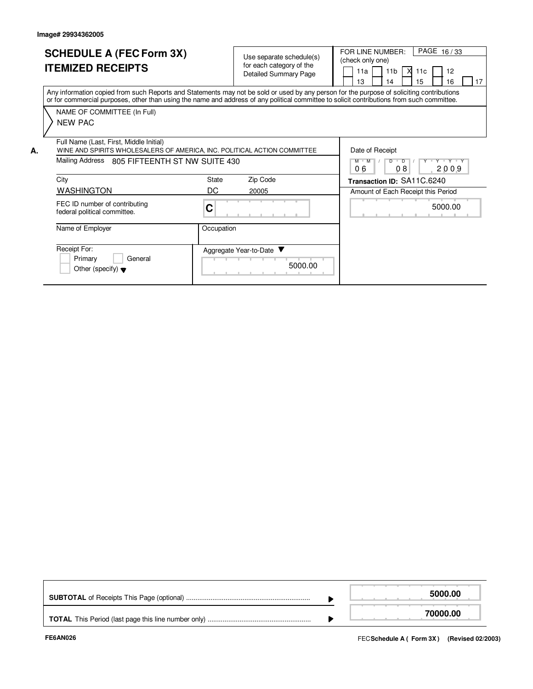**A.**

## **SCHEDULE A (FEC Form 3X) ITEMIZED RECEIPTS**

Use separate schedule(s) for each category of the

FOR LINE NUMBER:<br>(check only one)

 $PAGE$  16 / 33

Any information copied from such Reports and Statements may not be sold or used by any person for the purpose of soliciting contributions or for commercial purposes, other than using the name and address of any political committee to solicit contributions from such committee. NAME OF COMMITTEE (In Full) Detailed Summary Page Date of Receipt  $M$   $M$   $/$   $D$   $D$ Amount of Each Receipt this Period **Transaction ID:** SA11C.6240 FEC ID number of contributing federal political committee. **C** Full Name (Last, First, Middle Initial) Mailing Address 805 FIFTEENTH ST NW SUITE 430 City City State Zip Code NEW PAC 11a 13 11b 14 11c 15 12 16  $\Box$  17 X WINE AND SPIRITS WHOLESALERS OF AMERICA, INC. POLITICAL ACTION COMMITTEE WASHINGTON DC 20005 0 6 | 0 8 | 200 9 5000.00

| ะc⊔nation |
|-----------|

| Name of Employer                                                           | Occupation                        |
|----------------------------------------------------------------------------|-----------------------------------|
| Receipt For:<br>Primary<br>General<br>Other (specify) $\blacktriangledown$ | Aggregate Year-to-Date<br>5000.00 |

|  | 5000.00  |
|--|----------|
|  | 70000.00 |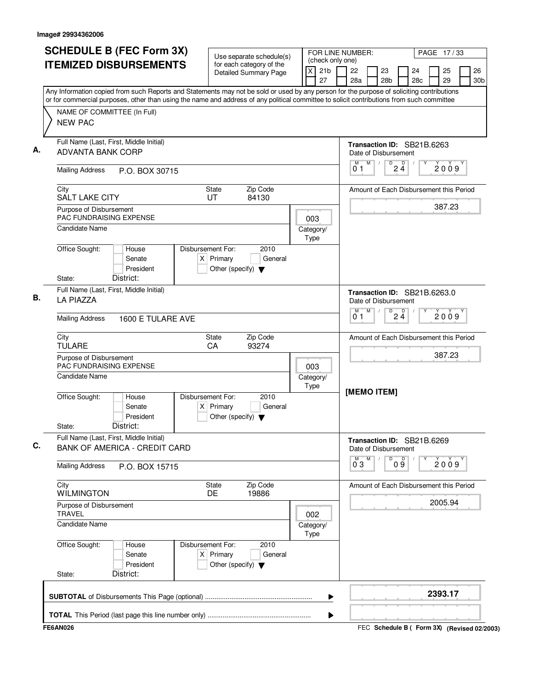| <b>SCHEDULE B (FEC Form 3X)</b>                                                                                                                                                                                                                                                        | Use separate schedule(s)                                                                    |     |                          | (check only one)                                                                | FOR LINE NUMBER:   |   |                       |                    |                                         |          | PAGE 17/33            |  |  |
|----------------------------------------------------------------------------------------------------------------------------------------------------------------------------------------------------------------------------------------------------------------------------------------|---------------------------------------------------------------------------------------------|-----|--------------------------|---------------------------------------------------------------------------------|--------------------|---|-----------------------|--------------------|-----------------------------------------|----------|-----------------------|--|--|
| <b>ITEMIZED DISBURSEMENTS</b>                                                                                                                                                                                                                                                          | for each category of the<br>Detailed Summary Page                                           |     | $\mathsf{\overline{x}}$  | 21 <sub>b</sub><br>27                                                           | 22<br>28a          |   | 23<br>28 <sub>b</sub> |                    | 24<br>28 <sub>c</sub>                   | 25<br>29 | 26<br>30 <sub>b</sub> |  |  |
| Any Information copied from such Reports and Statements may not be sold or used by any person for the purpose of soliciting contributions<br>or for commercial purposes, other than using the name and address of any political committee to solicit contributions from such committee |                                                                                             |     |                          |                                                                                 |                    |   |                       |                    |                                         |          |                       |  |  |
| NAME OF COMMITTEE (In Full)<br><b>NEW PAC</b>                                                                                                                                                                                                                                          |                                                                                             |     |                          |                                                                                 |                    |   |                       |                    |                                         |          |                       |  |  |
| Full Name (Last, First, Middle Initial)<br>ADVANTA BANK CORP                                                                                                                                                                                                                           |                                                                                             |     |                          |                                                                                 |                    |   | Date of Disbursement  |                    | Transaction ID: SB21B.6263              |          |                       |  |  |
| <b>Mailing Address</b><br>P.O. BOX 30715                                                                                                                                                                                                                                               |                                                                                             |     |                          |                                                                                 | M<br>01            | M | $\sqrt{ }$            | $\overline{P}$ 2 4 |                                         | 2009     |                       |  |  |
| City<br><b>SALT LAKE CITY</b>                                                                                                                                                                                                                                                          | Zip Code<br>State<br>UT<br>84130                                                            |     |                          |                                                                                 |                    |   |                       |                    | Amount of Each Disbursement this Period |          |                       |  |  |
| Purpose of Disbursement<br>PAC FUNDRAISING EXPENSE                                                                                                                                                                                                                                     |                                                                                             |     | 003                      |                                                                                 |                    |   |                       |                    |                                         | 387.23   |                       |  |  |
| <b>Candidate Name</b>                                                                                                                                                                                                                                                                  |                                                                                             |     | Category/<br>Type        |                                                                                 |                    |   |                       |                    |                                         |          |                       |  |  |
| Office Sought:<br>House<br>Senate<br>President                                                                                                                                                                                                                                         | Disbursement For:<br>2010<br>$X$ Primary<br>General<br>Other (specify) $\blacktriangledown$ |     |                          |                                                                                 |                    |   |                       |                    |                                         |          |                       |  |  |
| District:<br>State:<br>Full Name (Last, First, Middle Initial)<br><b>LA PIAZZA</b>                                                                                                                                                                                                     |                                                                                             |     |                          |                                                                                 |                    |   |                       |                    | Transaction ID: SB21B.6263.0            |          |                       |  |  |
| <b>Mailing Address</b><br>1600 E TULARE AVE                                                                                                                                                                                                                                            |                                                                                             |     |                          | Date of Disbursement<br>M<br>D<br>$2\frac{D}{4}$<br>м<br>2009<br>0 <sub>1</sub> |                    |   |                       |                    |                                         |          |                       |  |  |
| City                                                                                                                                                                                                                                                                                   | Zip Code<br><b>State</b>                                                                    |     |                          |                                                                                 |                    |   |                       |                    | Amount of Each Disbursement this Period |          |                       |  |  |
| <b>TULARE</b><br>Purpose of Disbursement                                                                                                                                                                                                                                               | CA<br>93274                                                                                 |     |                          |                                                                                 |                    |   |                       |                    |                                         | 387.23   |                       |  |  |
| <b>PAC FUNDRAISING EXPENSE</b><br>Candidate Name                                                                                                                                                                                                                                       |                                                                                             |     | 003<br>Category/<br>Type |                                                                                 |                    |   |                       |                    |                                         |          |                       |  |  |
| Office Sought:<br>House<br>Senate<br>$\times$<br>President<br>District:<br>State:                                                                                                                                                                                                      | Disbursement For:<br>2010<br>Primary<br>General<br>Other (specify) $\blacktriangledown$     |     |                          |                                                                                 | [MEMO ITEM]        |   |                       |                    |                                         |          |                       |  |  |
| Full Name (Last, First, Middle Initial)<br><b>BANK OF AMERICA - CREDIT CARD</b>                                                                                                                                                                                                        |                                                                                             |     |                          |                                                                                 |                    |   | Date of Disbursement  |                    | Transaction ID: SB21B.6269              |          |                       |  |  |
| <b>Mailing Address</b><br>P.O. BOX 15715                                                                                                                                                                                                                                               |                                                                                             |     |                          |                                                                                 | $\overline{0}^M$ 3 | M | D                     | 09                 |                                         | 2009     |                       |  |  |
| City<br><b>WILMINGTON</b>                                                                                                                                                                                                                                                              | Zip Code<br>State<br>DE.<br>19886                                                           |     |                          |                                                                                 |                    |   |                       |                    | Amount of Each Disbursement this Period |          |                       |  |  |
| Purpose of Disbursement<br><b>TRAVEL</b>                                                                                                                                                                                                                                               |                                                                                             | 002 |                          |                                                                                 |                    |   |                       |                    |                                         | 2005.94  |                       |  |  |
| <b>Candidate Name</b>                                                                                                                                                                                                                                                                  |                                                                                             |     | Category/<br>Type        |                                                                                 |                    |   |                       |                    |                                         |          |                       |  |  |
| Office Sought:<br>House<br>Senate<br>President                                                                                                                                                                                                                                         | Disbursement For:<br>2010<br>$X$ Primary<br>General<br>Other (specify) $\blacktriangledown$ |     |                          |                                                                                 |                    |   |                       |                    |                                         |          |                       |  |  |
| District:<br>State:                                                                                                                                                                                                                                                                    |                                                                                             |     |                          |                                                                                 |                    |   |                       |                    |                                         |          |                       |  |  |
|                                                                                                                                                                                                                                                                                        |                                                                                             |     |                          | ▶                                                                               |                    |   |                       |                    |                                         | 2393.17  |                       |  |  |
|                                                                                                                                                                                                                                                                                        |                                                                                             |     |                          | ▶                                                                               |                    |   |                       |                    |                                         |          |                       |  |  |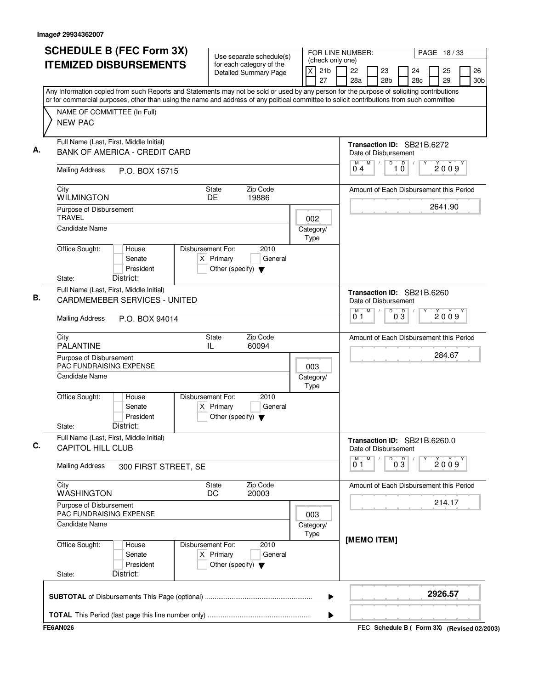| <b>SCHEDULE B (FEC Form 3X)</b>                                                                                                                                                                                                                                                        | Use separate schedule(s)                                                                    |                                           | FOR LINE NUMBER:<br>PAGE 18/33                       |    |                       |          |  |                       |
|----------------------------------------------------------------------------------------------------------------------------------------------------------------------------------------------------------------------------------------------------------------------------------------|---------------------------------------------------------------------------------------------|-------------------------------------------|------------------------------------------------------|----|-----------------------|----------|--|-----------------------|
| <b>ITEMIZED DISBURSEMENTS</b>                                                                                                                                                                                                                                                          | for each category of the<br><b>Detailed Summary Page</b>                                    | (check only one)<br>21b<br>$\times$<br>27 | 22<br>23<br>28a<br>28 <sub>b</sub>                   |    | 24<br>28 <sub>c</sub> | 25<br>29 |  | 26<br>30 <sub>b</sub> |
| Any Information copied from such Reports and Statements may not be sold or used by any person for the purpose of soliciting contributions<br>or for commercial purposes, other than using the name and address of any political committee to solicit contributions from such committee |                                                                                             |                                           |                                                      |    |                       |          |  |                       |
| NAME OF COMMITTEE (In Full)                                                                                                                                                                                                                                                            |                                                                                             |                                           |                                                      |    |                       |          |  |                       |
| <b>NEW PAC</b>                                                                                                                                                                                                                                                                         |                                                                                             |                                           |                                                      |    |                       |          |  |                       |
| Full Name (Last, First, Middle Initial)                                                                                                                                                                                                                                                |                                                                                             |                                           | Transaction ID: SB21B.6272                           |    |                       |          |  |                       |
| <b>BANK OF AMERICA - CREDIT CARD</b>                                                                                                                                                                                                                                                   |                                                                                             |                                           | Date of Disbursement<br>M<br>M<br>D                  | D  |                       |          |  |                       |
| <b>Mailing Address</b><br>P.O. BOX 15715                                                                                                                                                                                                                                               |                                                                                             |                                           | 04                                                   | 10 |                       | 2009     |  |                       |
| City<br><b>WILMINGTON</b>                                                                                                                                                                                                                                                              | Zip Code<br>State<br>DE<br>19886                                                            |                                           | Amount of Each Disbursement this Period              |    |                       |          |  |                       |
| Purpose of Disbursement                                                                                                                                                                                                                                                                |                                                                                             |                                           |                                                      |    |                       | 2641.90  |  |                       |
| <b>TRAVEL</b><br><b>Candidate Name</b>                                                                                                                                                                                                                                                 |                                                                                             | 002<br>Category/                          |                                                      |    |                       |          |  |                       |
|                                                                                                                                                                                                                                                                                        |                                                                                             | Type                                      |                                                      |    |                       |          |  |                       |
| Office Sought:<br>House<br>Senate<br>President                                                                                                                                                                                                                                         | Disbursement For:<br>2010<br>$X$ Primary<br>General<br>Other (specify) $\blacktriangledown$ |                                           |                                                      |    |                       |          |  |                       |
| District:<br>State:                                                                                                                                                                                                                                                                    |                                                                                             |                                           |                                                      |    |                       |          |  |                       |
| Full Name (Last, First, Middle Initial)<br><b>CARDMEMEBER SERVICES - UNITED</b>                                                                                                                                                                                                        |                                                                                             |                                           | Transaction ID: SB21B.6260<br>Date of Disbursement   |    |                       |          |  |                       |
| <b>Mailing Address</b><br>P.O. BOX 94014                                                                                                                                                                                                                                               | M<br>D<br>M<br>$0\overline{3}$<br>2009<br>01                                                |                                           |                                                      |    |                       |          |  |                       |
| City<br><b>PALANTINE</b>                                                                                                                                                                                                                                                               | Zip Code<br>State<br>60094<br>IL                                                            |                                           | Amount of Each Disbursement this Period              |    |                       |          |  |                       |
| Purpose of Disbursement<br><b>PAC FUNDRAISING EXPENSE</b>                                                                                                                                                                                                                              | 003                                                                                         |                                           |                                                      |    | 284.67                |          |  |                       |
| Candidate Name                                                                                                                                                                                                                                                                         |                                                                                             | Category/<br>Type                         |                                                      |    |                       |          |  |                       |
| Office Sought:<br>House<br>Senate<br>President<br>District:<br>State:                                                                                                                                                                                                                  | Disbursement For:<br>2010<br>$X$ Primary<br>General<br>Other (specify) $\blacktriangledown$ |                                           |                                                      |    |                       |          |  |                       |
| Full Name (Last, First, Middle Initial)<br><b>CAPITOL HILL CLUB</b>                                                                                                                                                                                                                    |                                                                                             |                                           | Transaction ID: SB21B.6260.0<br>Date of Disbursement |    |                       |          |  |                       |
| <b>Mailing Address</b><br>300 FIRST STREET, SE                                                                                                                                                                                                                                         |                                                                                             | M<br>М<br>D<br>0 1                        | $0\overline{3}$                                      |    |                       | 2009     |  |                       |
| City<br>WASHINGTON                                                                                                                                                                                                                                                                     | Zip Code<br><b>State</b><br>20003<br>DC                                                     |                                           | Amount of Each Disbursement this Period              |    |                       |          |  |                       |
| Purpose of Disbursement<br>PAC FUNDRAISING EXPENSE                                                                                                                                                                                                                                     |                                                                                             | 003                                       |                                                      |    |                       | 214.17   |  |                       |
| Candidate Name                                                                                                                                                                                                                                                                         |                                                                                             | Category/<br>Type                         |                                                      |    |                       |          |  |                       |
| Office Sought:<br>House<br>Senate<br>President<br>District:<br>State:                                                                                                                                                                                                                  | Disbursement For:<br>2010<br>$X$ Primary<br>General<br>Other (specify) $\blacktriangledown$ |                                           | [MEMO ITEM]                                          |    |                       |          |  |                       |
|                                                                                                                                                                                                                                                                                        |                                                                                             | ▶                                         |                                                      |    |                       | 2926.57  |  |                       |
|                                                                                                                                                                                                                                                                                        |                                                                                             |                                           |                                                      |    |                       |          |  |                       |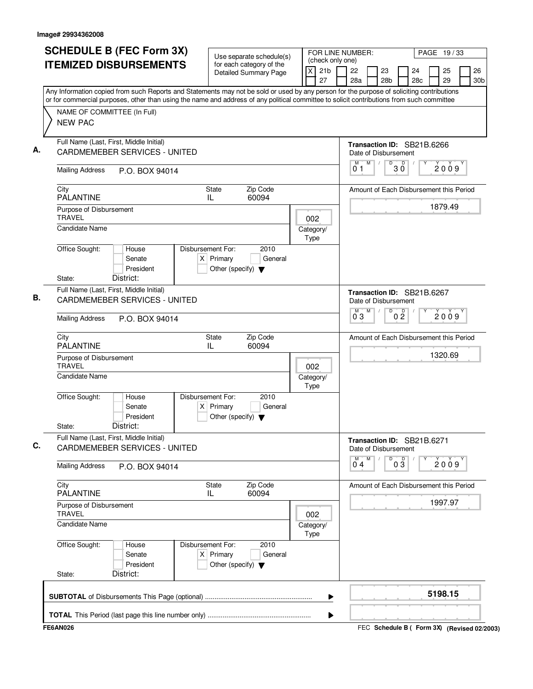| <b>SCHEDULE B (FEC Form 3X)</b><br><b>ITEMIZED DISBURSEMENTS</b>                                       | Use separate schedule(s)<br>for each category of the<br>ΙX<br><b>Detailed Summary Page</b>                                                                                                                                                                                             | FOR LINE NUMBER:<br>PAGE 19/33<br>(check only one)<br>21 <sub>b</sub><br>22<br>26<br>23<br>24<br>25<br>27<br>28 <sub>b</sub><br>29<br>28a<br>28c<br>30b |
|--------------------------------------------------------------------------------------------------------|----------------------------------------------------------------------------------------------------------------------------------------------------------------------------------------------------------------------------------------------------------------------------------------|---------------------------------------------------------------------------------------------------------------------------------------------------------|
|                                                                                                        | Any Information copied from such Reports and Statements may not be sold or used by any person for the purpose of soliciting contributions<br>or for commercial purposes, other than using the name and address of any political committee to solicit contributions from such committee |                                                                                                                                                         |
| NAME OF COMMITTEE (In Full)<br><b>NEW PAC</b>                                                          |                                                                                                                                                                                                                                                                                        |                                                                                                                                                         |
| Full Name (Last, First, Middle Initial)<br><b>CARDMEMEBER SERVICES - UNITED</b>                        |                                                                                                                                                                                                                                                                                        | Transaction ID: SB21B.6266<br>Date of Disbursement                                                                                                      |
| <b>Mailing Address</b><br>P.O. BOX 94014                                                               |                                                                                                                                                                                                                                                                                        | D<br>M<br>$30^{\circ}$<br>M<br>$\sqrt{2}$<br>2009<br>01                                                                                                 |
| City<br><b>PALANTINE</b>                                                                               | Zip Code<br>State<br>60094<br>IL                                                                                                                                                                                                                                                       | Amount of Each Disbursement this Period                                                                                                                 |
| Purpose of Disbursement<br><b>TRAVEL</b>                                                               | 002                                                                                                                                                                                                                                                                                    | 1879.49                                                                                                                                                 |
| <b>Candidate Name</b>                                                                                  | Category/<br>Type                                                                                                                                                                                                                                                                      |                                                                                                                                                         |
| Office Sought:<br>House<br>Senate<br>President                                                         | Disbursement For:<br>2010<br>$X$ Primary<br>General<br>Other (specify) $\blacktriangledown$                                                                                                                                                                                            |                                                                                                                                                         |
| District:<br>State:<br>Full Name (Last, First, Middle Initial)<br><b>CARDMEMEBER SERVICES - UNITED</b> |                                                                                                                                                                                                                                                                                        | Transaction ID: SB21B.6267<br>Date of Disbursement                                                                                                      |
| <b>Mailing Address</b><br>P.O. BOX 94014                                                               | D<br>M<br>0 <sup>0</sup><br>$\overline{0}^M$ 3<br>2009                                                                                                                                                                                                                                 |                                                                                                                                                         |
| City<br><b>PALANTINE</b>                                                                               | State<br>Zip Code<br>IL<br>60094                                                                                                                                                                                                                                                       | Amount of Each Disbursement this Period                                                                                                                 |
| Purpose of Disbursement<br><b>TRAVEL</b><br>Candidate Name                                             | 002<br>Category/                                                                                                                                                                                                                                                                       | 1320.69                                                                                                                                                 |
| Office Sought:<br>House<br>Senate<br>President<br>District:<br>State:                                  | Type<br>Disbursement For:<br>2010<br>$X$ Primary<br>General<br>Other (specify) $\blacktriangledown$                                                                                                                                                                                    |                                                                                                                                                         |
| Full Name (Last, First, Middle Initial)<br><b>CARDMEMEBER SERVICES - UNITED</b>                        |                                                                                                                                                                                                                                                                                        | Transaction ID: SB21B.6271<br>Date of Disbursement                                                                                                      |
| <b>Mailing Address</b><br>P.O. BOX 94014                                                               |                                                                                                                                                                                                                                                                                        | M<br>M<br>D<br>$0\overline{3}$<br>2009<br>04                                                                                                            |
| City<br><b>PALANTINE</b>                                                                               | Zip Code<br>State<br>60094<br>IL                                                                                                                                                                                                                                                       | Amount of Each Disbursement this Period                                                                                                                 |
| Purpose of Disbursement<br><b>TRAVEL</b>                                                               | 002                                                                                                                                                                                                                                                                                    | 1997.97                                                                                                                                                 |
| <b>Candidate Name</b>                                                                                  | Category/<br>Type                                                                                                                                                                                                                                                                      |                                                                                                                                                         |
| Office Sought:<br>House<br>Senate<br>President                                                         | Disbursement For:<br>2010<br>$X$ Primary<br>General<br>Other (specify) $\blacktriangledown$                                                                                                                                                                                            |                                                                                                                                                         |
| District:<br>State:                                                                                    |                                                                                                                                                                                                                                                                                        |                                                                                                                                                         |
|                                                                                                        |                                                                                                                                                                                                                                                                                        | 5198.15<br>▶                                                                                                                                            |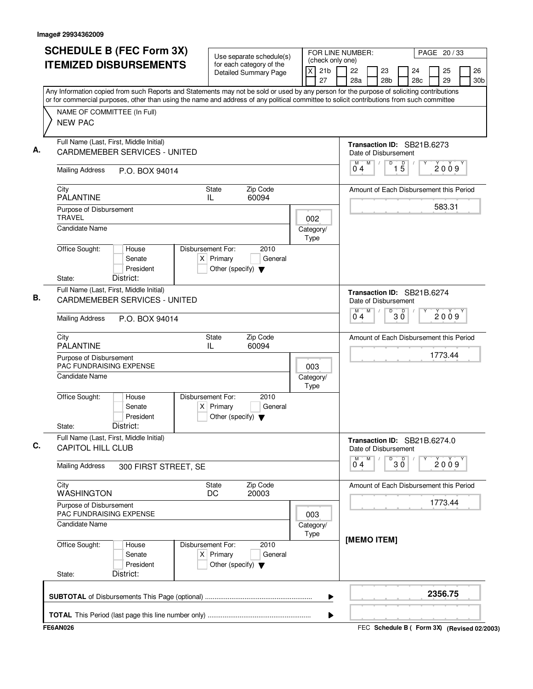| <b>SCHEDULE B (FEC Form 3X)</b>                                                                                                                                                                                                                                                        | Use separate schedule(s)                                                                    | FOR LINE NUMBER:<br>(check only one)    |                                                             | PAGE 20 / 33                      |  |
|----------------------------------------------------------------------------------------------------------------------------------------------------------------------------------------------------------------------------------------------------------------------------------------|---------------------------------------------------------------------------------------------|-----------------------------------------|-------------------------------------------------------------|-----------------------------------|--|
| <b>ITEMIZED DISBURSEMENTS</b>                                                                                                                                                                                                                                                          | for each category of the<br><b>Detailed Summary Page</b>                                    | $\mathsf{X}$<br>21 <sub>b</sub><br>27   | 22<br>23<br>24<br>28a<br>28 <sub>b</sub><br>28 <sub>c</sub> | 25<br>26<br>29<br>30 <sub>b</sub> |  |
| Any Information copied from such Reports and Statements may not be sold or used by any person for the purpose of soliciting contributions<br>or for commercial purposes, other than using the name and address of any political committee to solicit contributions from such committee |                                                                                             |                                         |                                                             |                                   |  |
| NAME OF COMMITTEE (In Full)                                                                                                                                                                                                                                                            |                                                                                             |                                         |                                                             |                                   |  |
| <b>NEW PAC</b>                                                                                                                                                                                                                                                                         |                                                                                             |                                         |                                                             |                                   |  |
| Full Name (Last, First, Middle Initial)                                                                                                                                                                                                                                                | <b>CARDMEMEBER SERVICES - UNITED</b>                                                        |                                         |                                                             |                                   |  |
| <b>Mailing Address</b><br>P.O. BOX 94014                                                                                                                                                                                                                                               |                                                                                             |                                         | M<br>$\overline{D}$<br>M<br>$\overline{15}$<br>04           | 2009                              |  |
| City<br><b>PALANTINE</b>                                                                                                                                                                                                                                                               | Zip Code<br>State<br>60094<br>IL                                                            |                                         | Amount of Each Disbursement this Period                     | 583.31                            |  |
| Purpose of Disbursement<br><b>TRAVEL</b>                                                                                                                                                                                                                                               |                                                                                             |                                         |                                                             |                                   |  |
| <b>Candidate Name</b>                                                                                                                                                                                                                                                                  |                                                                                             | Category/<br>Type                       |                                                             |                                   |  |
| Office Sought:<br>House<br>Senate<br>President<br>District:<br>State:                                                                                                                                                                                                                  | Disbursement For:<br>2010<br>$X$ Primary<br>General<br>Other (specify) $\blacktriangledown$ |                                         |                                                             |                                   |  |
| Full Name (Last, First, Middle Initial)<br><b>CARDMEMEBER SERVICES - UNITED</b>                                                                                                                                                                                                        |                                                                                             |                                         | Transaction ID: SB21B.6274<br>Date of Disbursement          |                                   |  |
| <b>Mailing Address</b><br>P.O. BOX 94014                                                                                                                                                                                                                                               |                                                                                             | M<br>D<br>$30^{\circ}$<br>$0^{\circ}$ 4 | 2009                                                        |                                   |  |
| City<br><b>PALANTINE</b>                                                                                                                                                                                                                                                               | Zip Code<br>State<br>IL<br>60094                                                            |                                         | Amount of Each Disbursement this Period                     |                                   |  |
| Purpose of Disbursement<br><b>PAC FUNDRAISING EXPENSE</b>                                                                                                                                                                                                                              | 003                                                                                         | 1773.44                                 |                                                             |                                   |  |
| Candidate Name                                                                                                                                                                                                                                                                         |                                                                                             | Category/<br>Type                       |                                                             |                                   |  |
| Office Sought:<br>House<br>Senate<br>President<br>District:<br>State:                                                                                                                                                                                                                  | Disbursement For:<br>2010<br>$X$ Primary<br>General<br>Other (specify) $\blacktriangledown$ |                                         |                                                             |                                   |  |
| Full Name (Last, First, Middle Initial)<br><b>CAPITOL HILL CLUB</b>                                                                                                                                                                                                                    |                                                                                             |                                         | Transaction ID: SB21B.6274.0<br>Date of Disbursement        |                                   |  |
| <b>Mailing Address</b><br>300 FIRST STREET, SE                                                                                                                                                                                                                                         |                                                                                             | M<br>$B^D$ 3 $\overline{0}$<br>04       | 2009                                                        |                                   |  |
| City<br>WASHINGTON                                                                                                                                                                                                                                                                     | Zip Code<br><b>State</b><br>DC<br>20003                                                     |                                         | Amount of Each Disbursement this Period                     |                                   |  |
| Purpose of Disbursement<br>PAC FUNDRAISING EXPENSE                                                                                                                                                                                                                                     |                                                                                             | 003                                     |                                                             | 1773.44                           |  |
| Candidate Name                                                                                                                                                                                                                                                                         |                                                                                             | Category/<br>Type                       | [MEMO ITEM]                                                 |                                   |  |
| Office Sought:<br>House<br>Senate<br>President<br>District:<br>State:                                                                                                                                                                                                                  | Disbursement For:<br>2010<br>$X$ Primary<br>General<br>Other (specify) $\blacktriangledown$ |                                         |                                                             |                                   |  |
|                                                                                                                                                                                                                                                                                        |                                                                                             | ▶                                       |                                                             | 2356.75                           |  |
|                                                                                                                                                                                                                                                                                        |                                                                                             | ▶                                       |                                                             |                                   |  |
| <b>FE6AN026</b>                                                                                                                                                                                                                                                                        |                                                                                             |                                         | FEC Schedule B ( Form 3X) (Revised 02/2003)                 |                                   |  |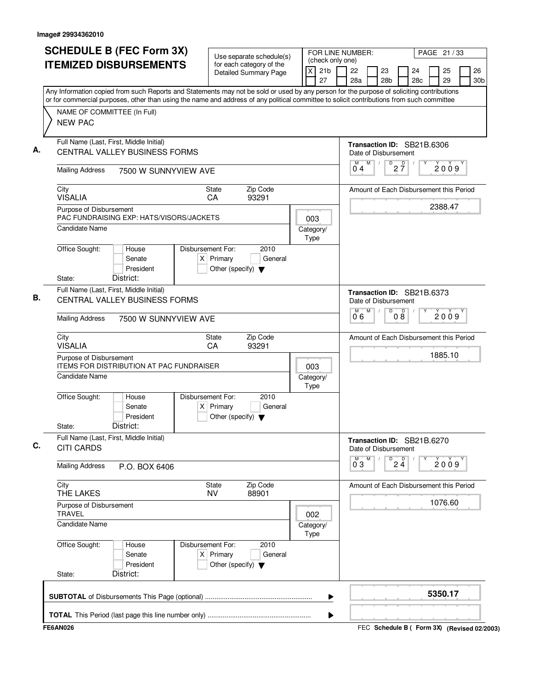| <b>SCHEDULE B (FEC Form 3X)</b><br><b>ITEMIZED DISBURSEMENTS</b>                                                                                                                                 | Use separate schedule(s)<br>for each category of the<br><b>Detailed Summary Page</b>                                                   | FOR LINE NUMBER:<br>PAGE 21 / 33<br>(check only one)<br>21 <sub>b</sub><br>22<br>26<br>X<br>23<br>24<br>25<br>27<br>28a<br>28 <sub>b</sub><br>29<br>28 <sub>c</sub><br>30 <sub>b</sub>                                                                                                 |
|--------------------------------------------------------------------------------------------------------------------------------------------------------------------------------------------------|----------------------------------------------------------------------------------------------------------------------------------------|----------------------------------------------------------------------------------------------------------------------------------------------------------------------------------------------------------------------------------------------------------------------------------------|
| NAME OF COMMITTEE (In Full)<br><b>NEW PAC</b>                                                                                                                                                    |                                                                                                                                        | Any Information copied from such Reports and Statements may not be sold or used by any person for the purpose of soliciting contributions<br>or for commercial purposes, other than using the name and address of any political committee to solicit contributions from such committee |
| Full Name (Last, First, Middle Initial)<br>А.<br><b>CENTRAL VALLEY BUSINESS FORMS</b><br><b>Mailing Address</b><br>7500 W SUNNYVIEW AVE                                                          |                                                                                                                                        | Transaction ID: SB21B.6306<br>Date of Disbursement<br>$\mathsf D$<br>M<br>$2\frac{D}{7}$<br>M<br>$\sqrt{2}$<br>2009<br>04                                                                                                                                                              |
| City<br><b>VISALIA</b><br>Purpose of Disbursement<br>PAC FUNDRAISING EXP: HATS/VISORS/JACKETS<br>Candidate Name                                                                                  | Zip Code<br>State<br>93291<br><b>CA</b>                                                                                                | Amount of Each Disbursement this Period<br>2388.47<br>003<br>Category/                                                                                                                                                                                                                 |
| Office Sought:<br>House<br>Senate<br>President<br>District:<br>State:                                                                                                                            | Disbursement For:<br>2010<br>$X$ Primary<br>General<br>Other (specify) $\blacktriangledown$                                            | Type                                                                                                                                                                                                                                                                                   |
| Full Name (Last, First, Middle Initial)<br>В.<br>CENTRAL VALLEY BUSINESS FORMS<br><b>Mailing Address</b><br>7500 W SUNNYVIEW AVE                                                                 |                                                                                                                                        | Transaction ID: SB21B.6373<br>Date of Disbursement<br>$\overline{D}$<br>M<br>M<br>08<br>2009<br>0°6                                                                                                                                                                                    |
| City<br><b>VISALIA</b><br>Purpose of Disbursement<br><b>ITEMS FOR DISTRIBUTION AT PAC FUNDRAISER</b><br>Candidate Name<br>Office Sought:<br>House<br>Senate<br>President<br>District:<br>State:  | Zip Code<br><b>State</b><br>93291<br>CA<br>Disbursement For:<br>2010<br>$X$ Primary<br>General<br>Other (specify) $\blacktriangledown$ | Amount of Each Disbursement this Period<br>1885.10<br>003<br>Category/<br>Type                                                                                                                                                                                                         |
| Full Name (Last, First, Middle Initial)<br>C.<br><b>CITI CARDS</b>                                                                                                                               |                                                                                                                                        | Transaction ID: SB21B.6270<br>Date of Disbursement<br>M<br>$\overline{P}$ 2 $\overline{4}$<br>M<br>2009<br>03                                                                                                                                                                          |
| <b>Mailing Address</b><br>P.O. BOX 6406<br>City<br>THE LAKES<br>Purpose of Disbursement<br><b>TRAVEL</b><br><b>Candidate Name</b><br>Office Sought:<br>House<br>Senate<br>President<br>District: | Zip Code<br>State<br><b>NV</b><br>88901<br>Disbursement For:<br>2010<br>$X$ Primary<br>General<br>Other (specify) $\blacktriangledown$ | Amount of Each Disbursement this Period<br>1076.60<br>002<br>Category/<br>Type                                                                                                                                                                                                         |
| State:                                                                                                                                                                                           |                                                                                                                                        | 5350.17<br>▶                                                                                                                                                                                                                                                                           |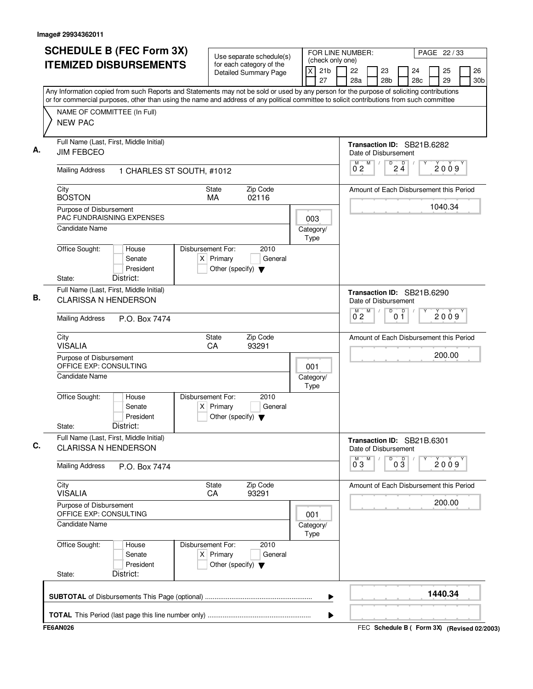| <b>SCHEDULE B (FEC Form 3X)</b>                                                                                                                                                                                                                                                        |                                                                            | Use separate schedule(s)                                 |                   | FOR LINE NUMBER:<br>(check only one) |                     |   |                           |                |                                         | PAGE 22 / 33 |                       |
|----------------------------------------------------------------------------------------------------------------------------------------------------------------------------------------------------------------------------------------------------------------------------------------|----------------------------------------------------------------------------|----------------------------------------------------------|-------------------|--------------------------------------|---------------------|---|---------------------------|----------------|-----------------------------------------|--------------|-----------------------|
| <b>ITEMIZED DISBURSEMENTS</b>                                                                                                                                                                                                                                                          |                                                                            | for each category of the<br><b>Detailed Summary Page</b> | $\pmb{\times}$    | 21 <sub>b</sub><br>27                | 22<br>28a           |   | 23<br>28 <sub>b</sub>     |                | 24<br>28 <sub>c</sub>                   | 25<br>29     | 26<br>30 <sub>b</sub> |
| Any Information copied from such Reports and Statements may not be sold or used by any person for the purpose of soliciting contributions<br>or for commercial purposes, other than using the name and address of any political committee to solicit contributions from such committee |                                                                            |                                                          |                   |                                      |                     |   |                           |                |                                         |              |                       |
| NAME OF COMMITTEE (In Full)<br><b>NEW PAC</b>                                                                                                                                                                                                                                          |                                                                            |                                                          |                   |                                      |                     |   |                           |                |                                         |              |                       |
| Full Name (Last, First, Middle Initial)<br><b>JIM FEBCEO</b>                                                                                                                                                                                                                           |                                                                            |                                                          |                   |                                      |                     |   | Date of Disbursement      |                | Transaction ID: SB21B.6282              |              |                       |
| <b>Mailing Address</b><br>1 CHARLES ST SOUTH, #1012                                                                                                                                                                                                                                    |                                                                            |                                                          |                   |                                      | M<br>02             | M | D<br>$\sqrt{2}$           | $2\frac{D}{4}$ |                                         | 2009         |                       |
| City<br><b>BOSTON</b>                                                                                                                                                                                                                                                                  | State<br>MA                                                                | Zip Code<br>02116                                        |                   |                                      |                     |   |                           |                | Amount of Each Disbursement this Period |              |                       |
| Purpose of Disbursement<br><b>PAC FUNDRAISNING EXPENSES</b>                                                                                                                                                                                                                            |                                                                            |                                                          | 003               |                                      |                     |   |                           |                |                                         | 1040.34      |                       |
| Candidate Name                                                                                                                                                                                                                                                                         |                                                                            |                                                          | Category/<br>Type |                                      |                     |   |                           |                |                                         |              |                       |
| Office Sought:<br>House<br>Senate<br>President                                                                                                                                                                                                                                         | Disbursement For:<br>$X$ Primary<br>Other (specify) $\blacktriangledown$   | 2010<br>General                                          |                   |                                      |                     |   |                           |                |                                         |              |                       |
| District:<br>State:                                                                                                                                                                                                                                                                    |                                                                            |                                                          |                   |                                      |                     |   |                           |                |                                         |              |                       |
| Full Name (Last, First, Middle Initial)<br><b>CLARISSA N HENDERSON</b>                                                                                                                                                                                                                 |                                                                            |                                                          |                   |                                      |                     |   | Date of Disbursement<br>D |                | Transaction ID: SB21B.6290              |              |                       |
| <b>Mailing Address</b><br>P.O. Box 7474                                                                                                                                                                                                                                                |                                                                            |                                                          |                   |                                      | $\overline{0}^M$ 2  | M |                           | 0 <sup>0</sup> |                                         | 2009         |                       |
| City<br><b>VISALIA</b>                                                                                                                                                                                                                                                                 | <b>State</b><br>CA                                                         | Zip Code<br>93291                                        |                   |                                      |                     |   |                           |                | Amount of Each Disbursement this Period |              |                       |
| Purpose of Disbursement<br>OFFICE EXP: CONSULTING                                                                                                                                                                                                                                      |                                                                            |                                                          | 001               |                                      |                     |   |                           |                |                                         | 200.00       |                       |
| <b>Candidate Name</b>                                                                                                                                                                                                                                                                  |                                                                            |                                                          | Category/<br>Type |                                      |                     |   |                           |                |                                         |              |                       |
| Office Sought:<br>House<br>Senate<br>President<br>District:<br>State:                                                                                                                                                                                                                  | Disbursement For:<br>Primary<br>X.<br>Other (specify) $\blacktriangledown$ | 2010<br>General                                          |                   |                                      |                     |   |                           |                |                                         |              |                       |
| Full Name (Last, First, Middle Initial)<br><b>CLARISSA N HENDERSON</b>                                                                                                                                                                                                                 |                                                                            |                                                          |                   |                                      |                     |   | Date of Disbursement      |                | Transaction ID: SB21B.6301              |              |                       |
| <b>Mailing Address</b><br>P.O. Box 7474                                                                                                                                                                                                                                                |                                                                            |                                                          |                   |                                      | M<br>$0^{\degree}3$ | M | D                         | $0\frac{D}{3}$ |                                         | 2009         |                       |
| City<br><b>VISALIA</b>                                                                                                                                                                                                                                                                 | State<br>CA                                                                | Zip Code<br>93291                                        |                   |                                      |                     |   |                           |                | Amount of Each Disbursement this Period |              |                       |
| Purpose of Disbursement<br>OFFICE EXP: CONSULTING                                                                                                                                                                                                                                      |                                                                            |                                                          | 001               |                                      |                     |   |                           |                |                                         | 200.00       |                       |
| <b>Candidate Name</b>                                                                                                                                                                                                                                                                  |                                                                            |                                                          | Category/<br>Type |                                      |                     |   |                           |                |                                         |              |                       |
| Office Sought:<br>House<br>Senate<br>President                                                                                                                                                                                                                                         | Disbursement For:<br>$X$ Primary<br>Other (specify) $\blacktriangledown$   | 2010<br>General                                          |                   |                                      |                     |   |                           |                |                                         |              |                       |
| District:<br>State:                                                                                                                                                                                                                                                                    |                                                                            |                                                          |                   |                                      |                     |   |                           |                |                                         |              |                       |
|                                                                                                                                                                                                                                                                                        |                                                                            |                                                          |                   | ▶                                    |                     |   |                           |                |                                         | 1440.34      |                       |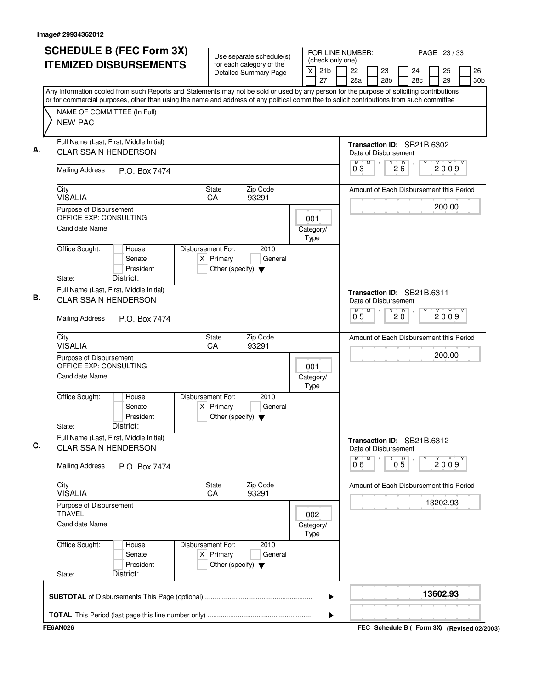| <b>SCHEDULE B (FEC Form 3X)</b>                                                                                                                                                                                                                                                        | Use separate schedule(s)                                                                    | (check only one)           | FOR LINE NUMBER:<br>PAGE 23/33     |                                                |  |  |  |  |  |  |
|----------------------------------------------------------------------------------------------------------------------------------------------------------------------------------------------------------------------------------------------------------------------------------------|---------------------------------------------------------------------------------------------|----------------------------|------------------------------------|------------------------------------------------|--|--|--|--|--|--|
| <b>ITEMIZED DISBURSEMENTS</b>                                                                                                                                                                                                                                                          | for each category of the<br><b>Detailed Summary Page</b>                                    | X<br>21 <sub>b</sub><br>27 | 22<br>23<br>28a<br>28 <sub>b</sub> | 26<br>24<br>25<br>28c<br>29<br>30 <sub>b</sub> |  |  |  |  |  |  |
| Any Information copied from such Reports and Statements may not be sold or used by any person for the purpose of soliciting contributions<br>or for commercial purposes, other than using the name and address of any political committee to solicit contributions from such committee |                                                                                             |                            |                                    |                                                |  |  |  |  |  |  |
| NAME OF COMMITTEE (In Full)                                                                                                                                                                                                                                                            |                                                                                             |                            |                                    |                                                |  |  |  |  |  |  |
| <b>NEW PAC</b>                                                                                                                                                                                                                                                                         |                                                                                             |                            |                                    |                                                |  |  |  |  |  |  |
| Full Name (Last, First, Middle Initial)<br><b>CLARISSA N HENDERSON</b>                                                                                                                                                                                                                 |                                                                                             |                            | Date of Disbursement               | Transaction ID: SB21B.6302                     |  |  |  |  |  |  |
| <b>Mailing Address</b><br>P.O. Box 7474                                                                                                                                                                                                                                                |                                                                                             |                            | M<br>D<br>0 <sub>3</sub>           | 26<br>2009                                     |  |  |  |  |  |  |
| City<br><b>VISALIA</b>                                                                                                                                                                                                                                                                 | Zip Code<br>State<br>93291<br>CA                                                            |                            |                                    | Amount of Each Disbursement this Period        |  |  |  |  |  |  |
| Purpose of Disbursement<br>OFFICE EXP: CONSULTING                                                                                                                                                                                                                                      |                                                                                             | 001                        |                                    | 200.00                                         |  |  |  |  |  |  |
| <b>Candidate Name</b>                                                                                                                                                                                                                                                                  |                                                                                             | Category/<br>Type          |                                    |                                                |  |  |  |  |  |  |
| Office Sought:<br>House<br>Senate<br>President<br>District:<br>State:                                                                                                                                                                                                                  | Disbursement For:<br>2010<br>$X$ Primary<br>General<br>Other (specify) $\blacktriangledown$ |                            |                                    |                                                |  |  |  |  |  |  |
| Full Name (Last, First, Middle Initial)<br><b>CLARISSA N HENDERSON</b>                                                                                                                                                                                                                 |                                                                                             |                            | Date of Disbursement               | Transaction ID: SB21B.6311                     |  |  |  |  |  |  |
| <b>Mailing Address</b><br>P.O. Box 7474                                                                                                                                                                                                                                                |                                                                                             |                            | M<br>D<br>$\overline{0}^M$ 5       | $\overline{D}$<br>2009<br>$20^{\circ}$         |  |  |  |  |  |  |
| City                                                                                                                                                                                                                                                                                   | Zip Code<br>State                                                                           |                            |                                    | Amount of Each Disbursement this Period        |  |  |  |  |  |  |
| <b>VISALIA</b><br>Purpose of Disbursement                                                                                                                                                                                                                                              | CA<br>93291                                                                                 |                            |                                    | 200.00                                         |  |  |  |  |  |  |
| OFFICE EXP: CONSULTING<br>Candidate Name                                                                                                                                                                                                                                               |                                                                                             | 001<br>Category/<br>Type   |                                    |                                                |  |  |  |  |  |  |
| Office Sought:<br>House<br>Senate<br>President<br>District:<br>State:                                                                                                                                                                                                                  | Disbursement For:<br>2010<br>$X$ Primary<br>General<br>Other (specify) $\blacktriangledown$ |                            |                                    |                                                |  |  |  |  |  |  |
| Full Name (Last, First, Middle Initial)<br><b>CLARISSA N HENDERSON</b>                                                                                                                                                                                                                 |                                                                                             |                            | Date of Disbursement               | Transaction ID: SB21B.6312                     |  |  |  |  |  |  |
| <b>Mailing Address</b><br>P.O. Box 7474                                                                                                                                                                                                                                                |                                                                                             |                            | м<br>M<br>D<br>06                  | $0\overline{5}$<br>2009                        |  |  |  |  |  |  |
| City<br><b>VISALIA</b>                                                                                                                                                                                                                                                                 | Zip Code<br>State<br>CA<br>93291                                                            |                            |                                    | Amount of Each Disbursement this Period        |  |  |  |  |  |  |
| Purpose of Disbursement<br><b>TRAVEL</b>                                                                                                                                                                                                                                               |                                                                                             | 002                        |                                    | 13202.93                                       |  |  |  |  |  |  |
| <b>Candidate Name</b>                                                                                                                                                                                                                                                                  |                                                                                             | Category/<br>Type          |                                    |                                                |  |  |  |  |  |  |
| Office Sought:<br>House<br>Senate<br>President<br>District:<br>State:                                                                                                                                                                                                                  | Disbursement For:<br>2010<br>$X$ Primary<br>General<br>Other (specify) $\blacktriangledown$ |                            |                                    |                                                |  |  |  |  |  |  |
|                                                                                                                                                                                                                                                                                        |                                                                                             | ▶                          |                                    | 13602.93                                       |  |  |  |  |  |  |
|                                                                                                                                                                                                                                                                                        |                                                                                             | ▶                          |                                    |                                                |  |  |  |  |  |  |
| <b>FE6AN026</b>                                                                                                                                                                                                                                                                        |                                                                                             |                            |                                    | FEC Schedule B ( Form 3X) (Revised 02/2003)    |  |  |  |  |  |  |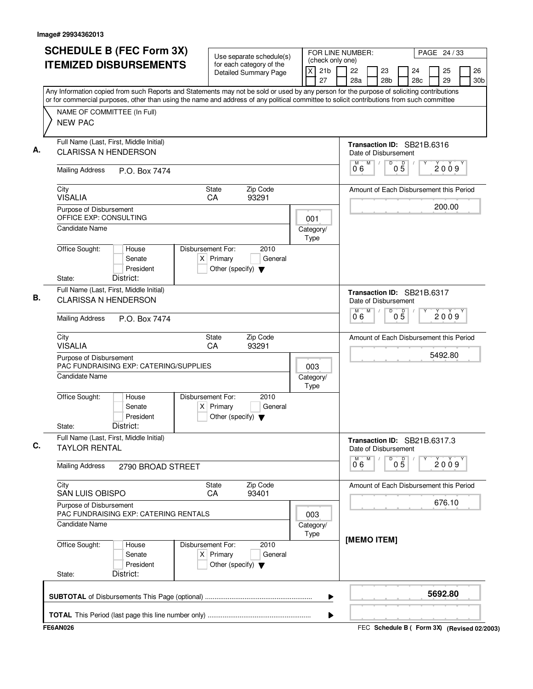| <b>SCHEDULE B (FEC Form 3X)</b>                                                                                                           | Use separate schedule(s)                                                                    | FOR LINE NUMBER:                                          |                                                      |                       |                       | PAGE 24 / 33 |                                             |
|-------------------------------------------------------------------------------------------------------------------------------------------|---------------------------------------------------------------------------------------------|-----------------------------------------------------------|------------------------------------------------------|-----------------------|-----------------------|--------------|---------------------------------------------|
| <b>ITEMIZED DISBURSEMENTS</b>                                                                                                             | for each category of the<br><b>Detailed Summary Page</b>                                    | (check only one)<br>$\mathsf{x}$<br>21 <sub>b</sub><br>27 | 22<br>28a                                            | 23<br>28 <sub>b</sub> | 24<br>28 <sub>c</sub> | 25<br>29     | 26<br>30 <sub>b</sub>                       |
| Any Information copied from such Reports and Statements may not be sold or used by any person for the purpose of soliciting contributions |                                                                                             |                                                           |                                                      |                       |                       |              |                                             |
| or for commercial purposes, other than using the name and address of any political committee to solicit contributions from such committee |                                                                                             |                                                           |                                                      |                       |                       |              |                                             |
| NAME OF COMMITTEE (In Full)<br><b>NEW PAC</b>                                                                                             |                                                                                             |                                                           |                                                      |                       |                       |              |                                             |
| Full Name (Last, First, Middle Initial)<br><b>CLARISSA N HENDERSON</b>                                                                    |                                                                                             |                                                           | Transaction ID: SB21B.6316                           |                       |                       |              |                                             |
|                                                                                                                                           |                                                                                             |                                                           | Date of Disbursement<br>M                            | D                     |                       |              |                                             |
| <b>Mailing Address</b><br>P.O. Box 7474                                                                                                   |                                                                                             |                                                           | 06                                                   | $0\overline{5}$       |                       | 2009         |                                             |
| City<br><b>VISALIA</b>                                                                                                                    | Zip Code<br><b>State</b><br>CA<br>93291                                                     |                                                           | Amount of Each Disbursement this Period              |                       |                       |              |                                             |
| Purpose of Disbursement<br>OFFICE EXP: CONSULTING                                                                                         |                                                                                             | 001                                                       |                                                      |                       |                       | 200.00       |                                             |
| Candidate Name                                                                                                                            |                                                                                             | Category/<br>Type                                         |                                                      |                       |                       |              |                                             |
| Office Sought:<br>House<br>Senate<br>President<br>District:<br>State:                                                                     | Disbursement For:<br>2010<br>$X$ Primary<br>General<br>Other (specify) $\blacktriangledown$ |                                                           |                                                      |                       |                       |              |                                             |
| Full Name (Last, First, Middle Initial)<br><b>CLARISSA N HENDERSON</b>                                                                    |                                                                                             |                                                           | Transaction ID: SB21B.6317<br>Date of Disbursement   |                       |                       |              |                                             |
| <b>Mailing Address</b><br>P.O. Box 7474                                                                                                   |                                                                                             |                                                           | M<br>06                                              | D<br>$0\overline{5}$  |                       | 2009         |                                             |
| City<br><b>VISALIA</b>                                                                                                                    | Zip Code<br><b>State</b><br>CA<br>93291                                                     |                                                           | Amount of Each Disbursement this Period              |                       |                       |              |                                             |
| Purpose of Disbursement<br><b>PAC FUNDRAISING EXP: CATERING/SUPPLIES</b>                                                                  |                                                                                             | 003                                                       |                                                      |                       |                       | 5492.80      |                                             |
| <b>Candidate Name</b>                                                                                                                     |                                                                                             | Category/<br>Type                                         |                                                      |                       |                       |              |                                             |
| Office Sought:<br>House<br>Senate<br>President<br>District:<br>State:                                                                     | Disbursement For:<br>2010<br>$X$ Primary<br>General<br>Other (specify) $\blacktriangledown$ |                                                           |                                                      |                       |                       |              |                                             |
| Full Name (Last, First, Middle Initial)<br><b>TAYLOR RENTAL</b>                                                                           |                                                                                             |                                                           | Transaction ID: SB21B.6317.3<br>Date of Disbursement |                       |                       |              |                                             |
| <b>Mailing Address</b><br>2790 BROAD STREET                                                                                               |                                                                                             |                                                           | M<br>06                                              | $0\overline{5}$       |                       | 2009         |                                             |
| City<br><b>SAN LUIS OBISPO</b>                                                                                                            | Zip Code<br><b>State</b><br>93401<br>CA.                                                    |                                                           | Amount of Each Disbursement this Period              |                       |                       |              |                                             |
| Purpose of Disbursement<br>PAC FUNDRAISING EXP: CATERING RENTALS                                                                          |                                                                                             | 003                                                       |                                                      |                       |                       | 676.10       |                                             |
| Candidate Name                                                                                                                            |                                                                                             | Category/<br>Type                                         |                                                      |                       |                       |              |                                             |
| Office Sought:<br>House<br>Senate<br>President<br>District:<br>State:                                                                     | Disbursement For:<br>2010<br>$X$ Primary<br>General<br>Other (specify) $\blacktriangledown$ |                                                           | [MEMO ITEM]                                          |                       |                       |              |                                             |
|                                                                                                                                           |                                                                                             | ▶                                                         |                                                      |                       |                       | 5692.80      |                                             |
|                                                                                                                                           |                                                                                             | ▶                                                         |                                                      |                       |                       |              |                                             |
| <b>FE6AN026</b>                                                                                                                           |                                                                                             |                                                           |                                                      |                       |                       |              | FEC Schedule B ( Form 3X) (Revised 02/2003) |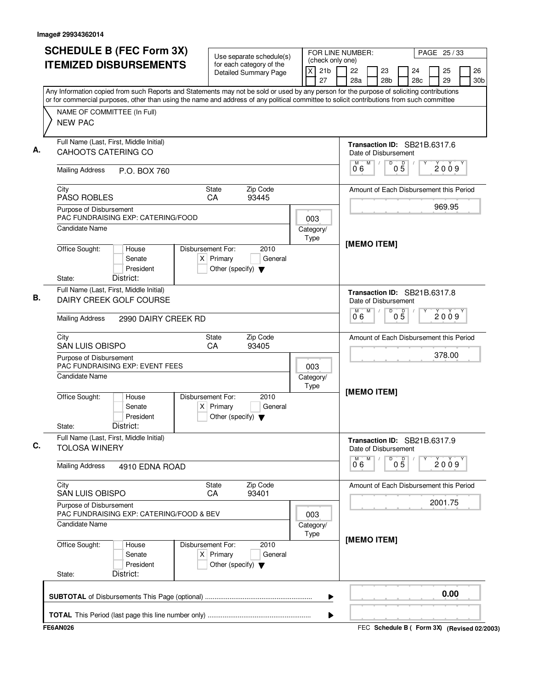| <b>SCHEDULE B (FEC Form 3X)</b>                                     |                              | Use separate schedule(s)                                                                                                                  |                                                       | FOR LINE NUMBER:       | PAGE 25/33                                     |
|---------------------------------------------------------------------|------------------------------|-------------------------------------------------------------------------------------------------------------------------------------------|-------------------------------------------------------|------------------------|------------------------------------------------|
| <b>ITEMIZED DISBURSEMENTS</b>                                       |                              | for each category of the<br><b>Detailed Summary Page</b>                                                                                  | (check only one)<br>$\times$<br>21 <sub>b</sub><br>27 | 22<br>23<br>28a<br>28b | 25<br>26<br>24<br>29<br>28c<br>30 <sub>b</sub> |
|                                                                     |                              | Any Information copied from such Reports and Statements may not be sold or used by any person for the purpose of soliciting contributions |                                                       |                        |                                                |
| NAME OF COMMITTEE (In Full)                                         |                              | or for commercial purposes, other than using the name and address of any political committee to solicit contributions from such committee |                                                       |                        |                                                |
| <b>NEW PAC</b>                                                      |                              |                                                                                                                                           |                                                       |                        |                                                |
| Full Name (Last, First, Middle Initial)<br>CAHOOTS CATERING CO      |                              |                                                                                                                                           |                                                       | Date of Disbursement   | Transaction ID: SB21B.6317.6                   |
| <b>Mailing Address</b>                                              | P.O. BOX 760                 |                                                                                                                                           |                                                       | M<br>D<br>06           | $0\overline{5}$<br>2009                        |
| City<br><b>PASO ROBLES</b>                                          |                              | Zip Code<br>State<br>CA<br>93445                                                                                                          |                                                       |                        | Amount of Each Disbursement this Period        |
| Purpose of Disbursement<br>PAC FUNDRAISING EXP: CATERING/FOOD       |                              |                                                                                                                                           | 003                                                   |                        | 969.95                                         |
| <b>Candidate Name</b>                                               |                              |                                                                                                                                           | Category/<br>Type                                     | [MEMO ITEM]            |                                                |
| Office Sought:<br>District:<br>State:                               | House<br>Senate<br>President | Disbursement For:<br>2010<br>$X$ Primary<br>General<br>Other (specify) $\blacktriangledown$                                               |                                                       |                        |                                                |
| Full Name (Last, First, Middle Initial)<br>DAIRY CREEK GOLF COURSE  |                              |                                                                                                                                           |                                                       | Date of Disbursement   | Transaction ID: SB21B.6317.8                   |
| <b>Mailing Address</b>                                              | 2990 DAIRY CREEK RD          |                                                                                                                                           |                                                       | M<br>M<br>D<br>06      | $0\overline{5}$<br>2009                        |
| City<br>SAN LUIS OBISPO                                             |                              | Zip Code<br>State<br>CA<br>93405                                                                                                          |                                                       |                        | Amount of Each Disbursement this Period        |
| Purpose of Disbursement<br>PAC FUNDRAISING EXP: EVENT FEES          |                              |                                                                                                                                           | 003                                                   |                        | 378.00                                         |
| <b>Candidate Name</b>                                               |                              |                                                                                                                                           | Category/<br>Type                                     | [MEMO ITEM]            |                                                |
| Office Sought:<br>District:<br>State:                               | House<br>Senate<br>President | 2010<br>Disbursement For:<br>$X$ Primary<br>General<br>Other (specify) $\blacktriangledown$                                               |                                                       |                        |                                                |
| Full Name (Last, First, Middle Initial)<br><b>TOLOSA WINERY</b>     |                              |                                                                                                                                           |                                                       | Date of Disbursement   | Transaction ID: SB21B.6317.9                   |
| <b>Mailing Address</b>                                              | 4910 EDNA ROAD               |                                                                                                                                           |                                                       | M<br>D<br>06           | $0\overline{5}$<br>2009                        |
| City<br>SAN LUIS OBISPO                                             |                              | Zip Code<br>State<br>93401<br>CA                                                                                                          |                                                       |                        | Amount of Each Disbursement this Period        |
| Purpose of Disbursement<br>PAC FUNDRAISING EXP: CATERING/FOOD & BEV |                              |                                                                                                                                           | 003                                                   |                        | 2001.75                                        |
| Candidate Name                                                      |                              |                                                                                                                                           | Category/<br>Type                                     | [MEMO ITEM]            |                                                |
| Office Sought:<br>District:<br>State:                               | House<br>Senate<br>President | Disbursement For:<br>2010<br>$X$ Primary<br>General<br>Other (specify) $\blacktriangledown$                                               |                                                       |                        |                                                |
|                                                                     |                              |                                                                                                                                           | ▶                                                     |                        | 0.00                                           |
|                                                                     |                              |                                                                                                                                           | ▶                                                     |                        |                                                |
| <b>FE6AN026</b>                                                     |                              |                                                                                                                                           |                                                       |                        | FEC Schedule B ( Form 3X) (Revised 02/2003)    |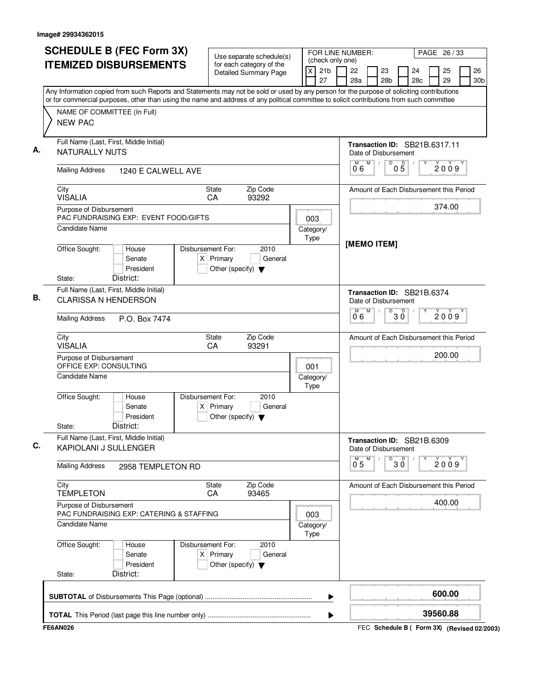| <b>SCHEDULE B (FEC Form 3X)</b>                                                                                                                                                                                                                                                        | Use separate schedule(s)                                                                    |                         | (check only one)      | FOR LINE NUMBER:     |   |                       |                      |                                         | PAGE 26 / 33 |                       |
|----------------------------------------------------------------------------------------------------------------------------------------------------------------------------------------------------------------------------------------------------------------------------------------|---------------------------------------------------------------------------------------------|-------------------------|-----------------------|----------------------|---|-----------------------|----------------------|-----------------------------------------|--------------|-----------------------|
| <b>ITEMIZED DISBURSEMENTS</b>                                                                                                                                                                                                                                                          | for each category of the<br>Detailed Summary Page                                           | $\overline{\mathsf{x}}$ | 21 <sub>b</sub><br>27 | 22<br>28a            |   | 23<br>28 <sub>b</sub> |                      | 24<br>28c                               | 25<br>29     | 26<br>30 <sub>b</sub> |
| Any Information copied from such Reports and Statements may not be sold or used by any person for the purpose of soliciting contributions<br>or for commercial purposes, other than using the name and address of any political committee to solicit contributions from such committee |                                                                                             |                         |                       |                      |   |                       |                      |                                         |              |                       |
| NAME OF COMMITTEE (In Full)<br><b>NEW PAC</b>                                                                                                                                                                                                                                          |                                                                                             |                         |                       |                      |   |                       |                      |                                         |              |                       |
| Full Name (Last, First, Middle Initial)<br>NATURALLY NUTS                                                                                                                                                                                                                              |                                                                                             |                         |                       | Date of Disbursement |   |                       |                      | Transaction ID: SB21B.6317.11           |              |                       |
| <b>Mailing Address</b><br>1240 E CALWELL AVE                                                                                                                                                                                                                                           |                                                                                             |                         |                       | M<br>06              | M |                       | D<br>$0\overline{5}$ |                                         | 2009         |                       |
| City<br><b>VISALIA</b>                                                                                                                                                                                                                                                                 | Zip Code<br>State<br>CA<br>93292                                                            |                         |                       |                      |   |                       |                      | Amount of Each Disbursement this Period |              |                       |
| Purpose of Disbursement                                                                                                                                                                                                                                                                |                                                                                             |                         |                       |                      |   |                       |                      |                                         | 374.00       |                       |
| PAC FUNDRAISING EXP: EVENT FOOD/GIFTS<br><b>Candidate Name</b>                                                                                                                                                                                                                         |                                                                                             | 003<br>Category/        |                       |                      |   |                       |                      |                                         |              |                       |
|                                                                                                                                                                                                                                                                                        |                                                                                             | Type                    |                       | [MEMO ITEM]          |   |                       |                      |                                         |              |                       |
| Office Sought:<br>House<br>Senate<br>President                                                                                                                                                                                                                                         | Disbursement For:<br>2010<br>$X$ Primary<br>General<br>Other (specify) $\blacktriangledown$ |                         |                       |                      |   |                       |                      |                                         |              |                       |
| District:<br>State:                                                                                                                                                                                                                                                                    |                                                                                             |                         |                       |                      |   |                       |                      |                                         |              |                       |
| Full Name (Last, First, Middle Initial)<br><b>CLARISSA N HENDERSON</b>                                                                                                                                                                                                                 |                                                                                             |                         |                       | Date of Disbursement |   |                       |                      | Transaction ID: SB21B.6374              |              |                       |
| <b>Mailing Address</b><br>P.O. Box 7474                                                                                                                                                                                                                                                |                                                                                             |                         |                       | м<br>06              | M |                       | D<br>$30^{\circ}$    |                                         | 2009         |                       |
| City<br><b>VISALIA</b>                                                                                                                                                                                                                                                                 | Zip Code<br><b>State</b><br>CA<br>93291                                                     |                         |                       |                      |   |                       |                      | Amount of Each Disbursement this Period |              |                       |
| Purpose of Disbursement<br>OFFICE EXP: CONSULTING                                                                                                                                                                                                                                      |                                                                                             | 001                     |                       |                      |   |                       |                      |                                         | 200.00       |                       |
| Candidate Name                                                                                                                                                                                                                                                                         |                                                                                             | Category/<br>Type       |                       |                      |   |                       |                      |                                         |              |                       |
| Office Sought:<br>House<br>Senate<br>$\vert X \vert$<br>President<br>District:<br>State:                                                                                                                                                                                               | Disbursement For:<br>2010<br>Primary<br>General<br>Other (specify) $\blacktriangledown$     |                         |                       |                      |   |                       |                      |                                         |              |                       |
| Full Name (Last, First, Middle Initial)<br>KAPIOLANI J SULLENGER                                                                                                                                                                                                                       |                                                                                             |                         |                       | Date of Disbursement |   |                       |                      | Transaction ID: SB21B.6309              |              |                       |
| <b>Mailing Address</b><br>2958 TEMPLETON RD                                                                                                                                                                                                                                            |                                                                                             |                         |                       | M<br>0 <sub>5</sub>  | M |                       | D<br>30              |                                         | 2009         |                       |
| City<br><b>TEMPLETON</b>                                                                                                                                                                                                                                                               | Zip Code<br>State<br>93465<br>CA                                                            |                         |                       |                      |   |                       |                      | Amount of Each Disbursement this Period |              |                       |
| Purpose of Disbursement<br>PAC FUNDRAISING EXP: CATERING & STAFFING                                                                                                                                                                                                                    |                                                                                             | 003                     |                       |                      |   |                       |                      |                                         | 400.00       |                       |
| <b>Candidate Name</b>                                                                                                                                                                                                                                                                  |                                                                                             | Category/<br>Type       |                       |                      |   |                       |                      |                                         |              |                       |
| Office Sought:<br>House<br>Senate<br>President                                                                                                                                                                                                                                         | Disbursement For:<br>2010<br>$X$ Primary<br>General<br>Other (specify) $\blacktriangledown$ |                         |                       |                      |   |                       |                      |                                         |              |                       |
| District:<br>State:                                                                                                                                                                                                                                                                    |                                                                                             |                         |                       |                      |   |                       |                      |                                         |              |                       |
|                                                                                                                                                                                                                                                                                        |                                                                                             |                         | ▶                     |                      |   |                       |                      |                                         | 600.00       |                       |
|                                                                                                                                                                                                                                                                                        |                                                                                             |                         | ▶                     |                      |   |                       |                      |                                         | 39560.88     |                       |
|                                                                                                                                                                                                                                                                                        |                                                                                             |                         |                       |                      |   |                       |                      |                                         |              |                       |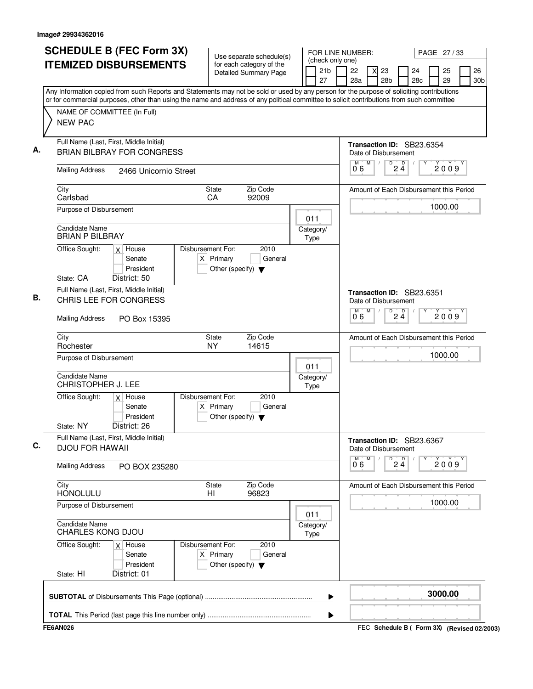|    | <b>SCHEDULE B (FEC Form 3X)</b><br><b>ITEMIZED DISBURSEMENTS</b>                                                                                                                                                                                                                       |                                                                          | Use separate schedule(s)<br>for each category of the |                   | (check only one)      | FOR LINE NUMBER:                |   |                       |                                |                                         | PAGE 27/33 |                       |
|----|----------------------------------------------------------------------------------------------------------------------------------------------------------------------------------------------------------------------------------------------------------------------------------------|--------------------------------------------------------------------------|------------------------------------------------------|-------------------|-----------------------|---------------------------------|---|-----------------------|--------------------------------|-----------------------------------------|------------|-----------------------|
|    |                                                                                                                                                                                                                                                                                        |                                                                          | <b>Detailed Summary Page</b>                         |                   | 21 <sub>b</sub><br>27 | 22<br>28a                       |   | 23<br>28 <sub>b</sub> |                                | 24<br>28c                               | 25<br>29   | 26<br>30 <sub>b</sub> |
|    | Any Information copied from such Reports and Statements may not be sold or used by any person for the purpose of soliciting contributions<br>or for commercial purposes, other than using the name and address of any political committee to solicit contributions from such committee |                                                                          |                                                      |                   |                       |                                 |   |                       |                                |                                         |            |                       |
|    | NAME OF COMMITTEE (In Full)<br><b>NEW PAC</b>                                                                                                                                                                                                                                          |                                                                          |                                                      |                   |                       |                                 |   |                       |                                |                                         |            |                       |
| А. | Full Name (Last, First, Middle Initial)<br><b>BRIAN BILBRAY FOR CONGRESS</b>                                                                                                                                                                                                           |                                                                          |                                                      |                   |                       | Date of Disbursement            |   |                       |                                | Transaction ID: SB23.6354               |            |                       |
|    | <b>Mailing Address</b><br>2466 Unicornio Street                                                                                                                                                                                                                                        |                                                                          |                                                      |                   |                       | М<br>06                         | M |                       | $D$ <sub>2</sub> $\frac{D}{4}$ |                                         | 2009       |                       |
|    | City<br>Carlsbad                                                                                                                                                                                                                                                                       | State<br>CA                                                              | Zip Code<br>92009                                    |                   |                       |                                 |   |                       |                                | Amount of Each Disbursement this Period |            |                       |
|    | Purpose of Disbursement                                                                                                                                                                                                                                                                |                                                                          |                                                      | 011               |                       |                                 |   |                       |                                |                                         | 1000.00    |                       |
|    | Candidate Name<br><b>BRIAN P BILBRAY</b>                                                                                                                                                                                                                                               |                                                                          |                                                      | Category/<br>Type |                       |                                 |   |                       |                                |                                         |            |                       |
|    | Office Sought:<br>$x$ House<br>Senate<br>President                                                                                                                                                                                                                                     | Disbursement For:<br>$X$ Primary<br>Other (specify) $\blacktriangledown$ | 2010<br>General                                      |                   |                       |                                 |   |                       |                                |                                         |            |                       |
|    | State: CA<br>District: 50<br>Full Name (Last, First, Middle Initial)                                                                                                                                                                                                                   |                                                                          |                                                      |                   |                       |                                 |   |                       |                                | Transaction ID: SB23.6351               |            |                       |
| В. | CHRIS LEE FOR CONGRESS                                                                                                                                                                                                                                                                 |                                                                          |                                                      |                   |                       | Date of Disbursement            | M | D                     |                                |                                         |            |                       |
|    | <b>Mailing Address</b><br>PO Box 15395                                                                                                                                                                                                                                                 |                                                                          |                                                      |                   |                       | $\overline{0}^{\overline{M}}$ 6 |   |                       | $2\frac{D}{4}$                 |                                         | 2009       |                       |
|    | City<br>Rochester                                                                                                                                                                                                                                                                      | <b>State</b><br><b>NY</b>                                                | Zip Code<br>14615                                    |                   |                       |                                 |   |                       |                                | Amount of Each Disbursement this Period |            |                       |
|    | Purpose of Disbursement                                                                                                                                                                                                                                                                |                                                                          |                                                      | 011               |                       |                                 |   |                       |                                |                                         | 1000.00    |                       |
|    | <b>Candidate Name</b><br><b>CHRISTOPHER J. LEE</b>                                                                                                                                                                                                                                     |                                                                          |                                                      | Category/<br>Type |                       |                                 |   |                       |                                |                                         |            |                       |
|    | Office Sought:<br>$x$ House<br>Senate<br>President                                                                                                                                                                                                                                     | Disbursement For:<br>$X$ Primary<br>Other (specify) $\blacktriangledown$ | 2010<br>General                                      |                   |                       |                                 |   |                       |                                |                                         |            |                       |
|    | District: 26<br>State: NY<br>Full Name (Last, First, Middle Initial)                                                                                                                                                                                                                   |                                                                          |                                                      |                   |                       |                                 |   |                       |                                | Transaction ID: SB23.6367               |            |                       |
| C. | <b>DJOU FOR HAWAII</b>                                                                                                                                                                                                                                                                 |                                                                          |                                                      |                   |                       | Date of Disbursement<br>М       | M |                       |                                |                                         |            |                       |
|    | <b>Mailing Address</b><br>PO BOX 235280                                                                                                                                                                                                                                                |                                                                          |                                                      |                   |                       | 06                              |   |                       | $\overline{P}$ 2 4             |                                         | 2009       |                       |
|    | City<br><b>HONOLULU</b>                                                                                                                                                                                                                                                                | <b>State</b><br>HI                                                       | Zip Code<br>96823                                    |                   |                       |                                 |   |                       |                                | Amount of Each Disbursement this Period |            |                       |
|    | Purpose of Disbursement                                                                                                                                                                                                                                                                |                                                                          |                                                      | 011               |                       |                                 |   |                       |                                |                                         | 1000.00    |                       |
|    | <b>Candidate Name</b><br><b>CHARLES KONG DJOU</b>                                                                                                                                                                                                                                      |                                                                          |                                                      | Category/<br>Type |                       |                                 |   |                       |                                |                                         |            |                       |
|    | Office Sought:<br>$x$ House<br>Senate<br>President                                                                                                                                                                                                                                     | Disbursement For:<br>$X$ Primary<br>Other (specify) $\blacktriangledown$ | 2010<br>General                                      |                   |                       |                                 |   |                       |                                |                                         |            |                       |
|    | District: 01<br>State: HI                                                                                                                                                                                                                                                              |                                                                          |                                                      |                   |                       |                                 |   |                       |                                |                                         |            |                       |
|    |                                                                                                                                                                                                                                                                                        |                                                                          |                                                      |                   | ▶                     |                                 |   |                       |                                |                                         | 3000.00    |                       |
|    |                                                                                                                                                                                                                                                                                        |                                                                          |                                                      |                   |                       |                                 |   |                       |                                |                                         |            |                       |
|    |                                                                                                                                                                                                                                                                                        |                                                                          |                                                      |                   |                       |                                 |   |                       |                                |                                         |            |                       |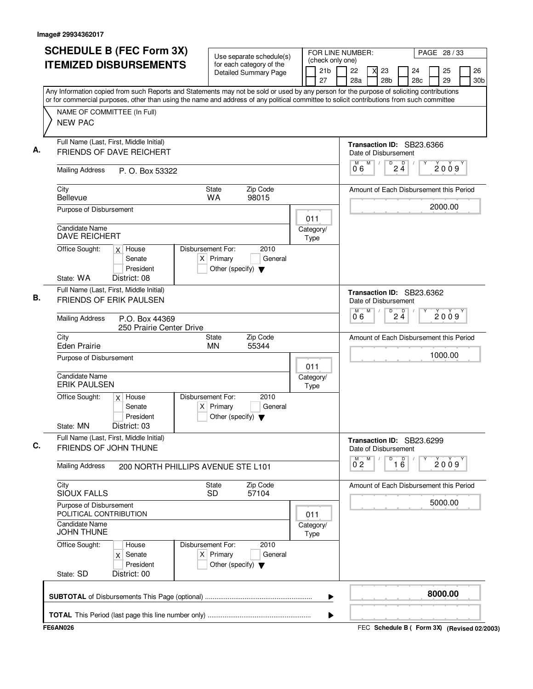| <b>SCHEDULE B (FEC Form 3X)</b>                                                                                                                                                                                                                                                                                       | Use separate schedule(s)                                                 |                                                          |  |                       | FOR LINE NUMBER:<br>PAGE 28 / 33<br>(check only one) |                     |   |                                                   |                 |           |          |      |                       |
|-----------------------------------------------------------------------------------------------------------------------------------------------------------------------------------------------------------------------------------------------------------------------------------------------------------------------|--------------------------------------------------------------------------|----------------------------------------------------------|--|-----------------------|------------------------------------------------------|---------------------|---|---------------------------------------------------|-----------------|-----------|----------|------|-----------------------|
| <b>ITEMIZED DISBURSEMENTS</b>                                                                                                                                                                                                                                                                                         |                                                                          | for each category of the<br><b>Detailed Summary Page</b> |  | 21 <sub>b</sub><br>27 |                                                      | 22<br>28a           |   | 23<br>28 <sub>b</sub>                             |                 | 24<br>28c | 25<br>29 |      | 26<br>30 <sub>b</sub> |
| Any Information copied from such Reports and Statements may not be sold or used by any person for the purpose of soliciting contributions<br>or for commercial purposes, other than using the name and address of any political committee to solicit contributions from such committee<br>NAME OF COMMITTEE (In Full) |                                                                          |                                                          |  |                       |                                                      |                     |   |                                                   |                 |           |          |      |                       |
| <b>NEW PAC</b>                                                                                                                                                                                                                                                                                                        |                                                                          |                                                          |  |                       |                                                      |                     |   |                                                   |                 |           |          |      |                       |
| Full Name (Last, First, Middle Initial)<br><b>FRIENDS OF DAVE REICHERT</b>                                                                                                                                                                                                                                            |                                                                          |                                                          |  |                       |                                                      |                     |   | Transaction ID: SB23.6366<br>Date of Disbursement |                 |           |          |      |                       |
| <b>Mailing Address</b><br>P. O. Box 53322                                                                                                                                                                                                                                                                             |                                                                          |                                                          |  |                       |                                                      | M<br>06             | M | $\sqrt{\frac{D}{2}}\underline{\ddot{4}}$          |                 |           | 2009     |      |                       |
| City<br><b>Bellevue</b>                                                                                                                                                                                                                                                                                               | <b>State</b><br><b>WA</b>                                                | Zip Code<br>98015                                        |  |                       |                                                      |                     |   | Amount of Each Disbursement this Period           |                 |           |          |      |                       |
| Purpose of Disbursement<br>Candidate Name                                                                                                                                                                                                                                                                             |                                                                          |                                                          |  | 011                   |                                                      |                     |   |                                                   |                 |           | 2000.00  |      |                       |
| <b>DAVE REICHERT</b>                                                                                                                                                                                                                                                                                                  | Disbursement For:                                                        | 2010                                                     |  | Category/<br>Type     |                                                      |                     |   |                                                   |                 |           |          |      |                       |
| Office Sought:<br>$x$ House<br>Senate<br>President<br>State: WA<br>District: 08                                                                                                                                                                                                                                       | $X$ Primary<br>Other (specify) $\blacktriangledown$                      | General                                                  |  |                       |                                                      |                     |   |                                                   |                 |           |          |      |                       |
| Full Name (Last, First, Middle Initial)<br><b>FRIENDS OF ERIK PAULSEN</b>                                                                                                                                                                                                                                             |                                                                          |                                                          |  |                       |                                                      |                     |   | Transaction ID: SB23.6362<br>Date of Disbursement |                 |           |          |      |                       |
| <b>Mailing Address</b><br>P.O. Box 44369<br>250 Prairie Center Drive                                                                                                                                                                                                                                                  |                                                                          |                                                          |  |                       |                                                      | 0.6                 | M | D                                                 | $2\frac{D}{4}$  |           | 2009     |      |                       |
| City<br><b>Eden Prairie</b>                                                                                                                                                                                                                                                                                           | State<br><b>MN</b>                                                       | Zip Code<br>55344                                        |  |                       |                                                      |                     |   | Amount of Each Disbursement this Period           |                 |           |          |      |                       |
| Purpose of Disbursement<br><b>Candidate Name</b>                                                                                                                                                                                                                                                                      |                                                                          |                                                          |  | 011<br>Category/      |                                                      |                     |   |                                                   |                 |           | 1000.00  |      |                       |
| <b>ERIK PAULSEN</b><br>Office Sought:<br>$x \mid$ House                                                                                                                                                                                                                                                               | Disbursement For:                                                        | 2010                                                     |  | Type                  |                                                      |                     |   |                                                   |                 |           |          |      |                       |
| Senate<br>President<br>District: 03<br>State: MN                                                                                                                                                                                                                                                                      | $X$ Primary<br>Other (specify) $\blacktriangledown$                      | General                                                  |  |                       |                                                      |                     |   |                                                   |                 |           |          |      |                       |
| Full Name (Last, First, Middle Initial)<br>FRIENDS OF JOHN THUNE                                                                                                                                                                                                                                                      |                                                                          |                                                          |  |                       |                                                      |                     |   | Transaction ID: SB23.6299<br>Date of Disbursement |                 |           |          |      |                       |
| <b>Mailing Address</b><br>200 NORTH PHILLIPS AVENUE STE L101                                                                                                                                                                                                                                                          |                                                                          |                                                          |  |                       |                                                      | M<br>$0^{\degree}2$ | M | D                                                 | $\overline{16}$ |           |          | 2009 |                       |
| City<br><b>SIOUX FALLS</b>                                                                                                                                                                                                                                                                                            | <b>State</b><br><b>SD</b>                                                | Zip Code<br>57104                                        |  |                       |                                                      |                     |   | Amount of Each Disbursement this Period           |                 |           |          |      |                       |
| Purpose of Disbursement<br>POLITICAL CONTRIBUTION                                                                                                                                                                                                                                                                     |                                                                          |                                                          |  | 011                   |                                                      |                     |   |                                                   |                 |           | 5000.00  |      |                       |
| Candidate Name<br><b>JOHN THUNE</b>                                                                                                                                                                                                                                                                                   |                                                                          |                                                          |  | Category/<br>Type     |                                                      |                     |   |                                                   |                 |           |          |      |                       |
| Office Sought:<br>House<br>Senate<br>X.<br>President<br>State: SD<br>District: 00                                                                                                                                                                                                                                     | Disbursement For:<br>$X$ Primary<br>Other (specify) $\blacktriangledown$ | 2010<br>General                                          |  |                       |                                                      |                     |   |                                                   |                 |           |          |      |                       |
|                                                                                                                                                                                                                                                                                                                       |                                                                          |                                                          |  | ▶                     |                                                      |                     |   |                                                   |                 |           | 8000.00  |      |                       |
|                                                                                                                                                                                                                                                                                                                       |                                                                          |                                                          |  | ▶                     |                                                      |                     |   |                                                   |                 |           |          |      |                       |
| <b>FE6AN026</b>                                                                                                                                                                                                                                                                                                       |                                                                          |                                                          |  |                       |                                                      |                     |   | FEC Schedule B ( Form 3X) (Revised 02/2003)       |                 |           |          |      |                       |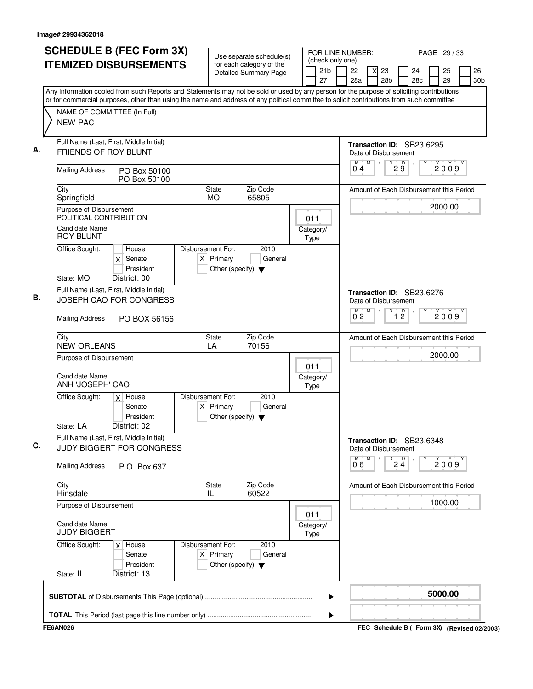| <b>SCHEDULE B (FEC Form 3X)</b><br><b>ITEMIZED DISBURSEMENTS</b>                                                                                                                                                                                                                                                                        | Use separate schedule(s)<br>for each category of the<br>Detailed Summary Page                       | FOR LINE NUMBER:<br>PAGE 29/33<br>(check only one)<br>21 <sub>b</sub><br>26<br>22<br>23<br>24<br>25<br>X<br>27<br>28a<br>28 <sub>b</sub><br>29<br>28c<br>30b |
|-----------------------------------------------------------------------------------------------------------------------------------------------------------------------------------------------------------------------------------------------------------------------------------------------------------------------------------------|-----------------------------------------------------------------------------------------------------|--------------------------------------------------------------------------------------------------------------------------------------------------------------|
| Any Information copied from such Reports and Statements may not be sold or used by any person for the purpose of soliciting contributions<br>or for commercial purposes, other than using the name and address of any political committee to solicit contributions from such committee<br>NAME OF COMMITTEE (In Full)<br><b>NEW PAC</b> |                                                                                                     |                                                                                                                                                              |
| Full Name (Last, First, Middle Initial)<br>А.<br>FRIENDS OF ROY BLUNT<br><b>Mailing Address</b><br>PO Box 50100<br>PO Box 50100                                                                                                                                                                                                         |                                                                                                     | Transaction ID: SB23.6295<br>Date of Disbursement<br>$\overline{D}$<br>M<br>M<br>$2\overset{D}{9}$<br>$\sqrt{2}$<br>2009<br>04                               |
| City<br>Springfield<br>Purpose of Disbursement<br>POLITICAL CONTRIBUTION<br>Candidate Name                                                                                                                                                                                                                                              | Zip Code<br><b>State</b><br>65805<br><b>MO</b><br>011<br>Category/                                  | Amount of Each Disbursement this Period<br>2000.00                                                                                                           |
| ROY BLUNT<br>Office Sought:<br>House<br>Senate<br>X<br>President<br>State: MO<br>District: 00                                                                                                                                                                                                                                           | Type<br>Disbursement For:<br>2010<br>$X$ Primary<br>General<br>Other (specify) $\blacktriangledown$ |                                                                                                                                                              |
| Full Name (Last, First, Middle Initial)<br>В.<br>JOSEPH CAO FOR CONGRESS<br><b>Mailing Address</b><br>PO BOX 56156                                                                                                                                                                                                                      |                                                                                                     | Transaction ID: SB23.6276<br>Date of Disbursement<br>D<br>M<br>$\overline{1}$ $\overline{2}$<br>$\overline{0}^M$ 2<br>2009                                   |
| City<br><b>NEW ORLEANS</b><br>Purpose of Disbursement<br><b>Candidate Name</b><br>ANH 'JOSEPH' CAO                                                                                                                                                                                                                                      | <b>State</b><br>Zip Code<br>70156<br>LA<br>011<br>Category/<br>Type                                 | Amount of Each Disbursement this Period<br>2000.00                                                                                                           |
| Office Sought:<br>$x$ House<br>Senate<br>President<br>District: 02<br>State: LA                                                                                                                                                                                                                                                         | Disbursement For:<br>2010<br>$X$ Primary<br>General<br>Other (specify) $\blacktriangledown$         |                                                                                                                                                              |
| Full Name (Last, First, Middle Initial)<br>C.<br>JUDY BIGGERT FOR CONGRESS                                                                                                                                                                                                                                                              |                                                                                                     | Transaction ID: SB23.6348<br>Date of Disbursement<br>M<br>M<br>D                                                                                             |
| <b>Mailing Address</b><br>P.O. Box 637                                                                                                                                                                                                                                                                                                  |                                                                                                     | $2\frac{D}{4}$<br>2009<br>06                                                                                                                                 |
| City<br>Hinsdale<br>Purpose of Disbursement                                                                                                                                                                                                                                                                                             | <b>State</b><br>Zip Code<br>60522<br>IL                                                             | Amount of Each Disbursement this Period<br>1000.00                                                                                                           |
| <b>Candidate Name</b><br><b>JUDY BIGGERT</b>                                                                                                                                                                                                                                                                                            | 011<br>Category/<br>Type                                                                            |                                                                                                                                                              |
| Office Sought:<br>$x$ House<br>Senate<br>President<br>State: IL<br>District: 13                                                                                                                                                                                                                                                         | Disbursement For:<br>2010<br>$X$ Primary<br>General<br>Other (specify) $\blacktriangledown$         |                                                                                                                                                              |
|                                                                                                                                                                                                                                                                                                                                         |                                                                                                     | 5000.00<br>▶                                                                                                                                                 |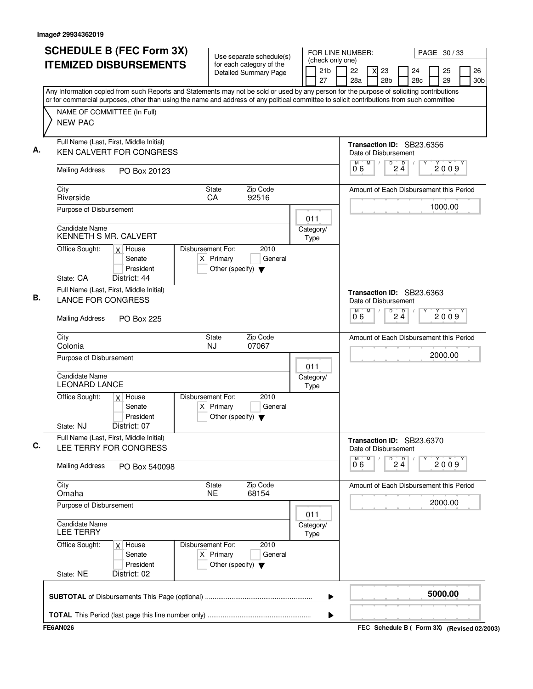| <b>SCHEDULE B (FEC Form 3X)</b>                                                                                                           | Use separate schedule(s)                                                                    |                   | (check only one)      | FOR LINE NUMBER: | PAGE 30/33                                             |                    |           |                        |      |                       |  |
|-------------------------------------------------------------------------------------------------------------------------------------------|---------------------------------------------------------------------------------------------|-------------------|-----------------------|------------------|--------------------------------------------------------|--------------------|-----------|------------------------|------|-----------------------|--|
| <b>ITEMIZED DISBURSEMENTS</b>                                                                                                             | for each category of the<br><b>Detailed Summary Page</b>                                    |                   | 21 <sub>b</sub><br>27 | 22<br>28a        | 23<br>X<br>28 <sub>b</sub>                             |                    | 24<br>28c | 25<br>29               |      | 26<br>30 <sub>b</sub> |  |
| Any Information copied from such Reports and Statements may not be sold or used by any person for the purpose of soliciting contributions |                                                                                             |                   |                       |                  |                                                        |                    |           |                        |      |                       |  |
| or for commercial purposes, other than using the name and address of any political committee to solicit contributions from such committee |                                                                                             |                   |                       |                  |                                                        |                    |           |                        |      |                       |  |
| NAME OF COMMITTEE (In Full)<br><b>NEW PAC</b>                                                                                             |                                                                                             |                   |                       |                  |                                                        |                    |           |                        |      |                       |  |
| Full Name (Last, First, Middle Initial)<br>KEN CALVERT FOR CONGRESS                                                                       |                                                                                             |                   |                       |                  | Transaction ID: SB23.6356<br>Date of Disbursement      |                    |           |                        |      |                       |  |
| <b>Mailing Address</b><br>PO Box 20123                                                                                                    |                                                                                             |                   |                       | M<br>06          | M                                                      | $\overline{P}$ 2 4 |           | 2009                   |      |                       |  |
| City<br>Riverside                                                                                                                         | Zip Code<br><b>State</b><br>92516<br>CA                                                     |                   |                       |                  | Amount of Each Disbursement this Period                |                    |           |                        |      |                       |  |
| Purpose of Disbursement                                                                                                                   |                                                                                             | 011               |                       |                  |                                                        |                    |           | 1000.00                |      |                       |  |
| <b>Candidate Name</b><br><b>KENNETH S MR. CALVERT</b>                                                                                     |                                                                                             | Category/<br>Type |                       |                  |                                                        |                    |           |                        |      |                       |  |
| Office Sought:<br>$x$ House<br>Senate<br>President                                                                                        | Disbursement For:<br>2010<br>$X$ Primary<br>General<br>Other (specify) $\blacktriangledown$ |                   |                       |                  |                                                        |                    |           |                        |      |                       |  |
| District: 44<br>State: CA                                                                                                                 |                                                                                             |                   |                       |                  |                                                        |                    |           |                        |      |                       |  |
| Full Name (Last, First, Middle Initial)<br><b>LANCE FOR CONGRESS</b>                                                                      |                                                                                             |                   |                       |                  | Transaction ID: SB23.6363<br>Date of Disbursement      |                    |           |                        |      |                       |  |
| <b>Mailing Address</b><br><b>PO Box 225</b>                                                                                               |                                                                                             |                   |                       | м<br>06          | M<br>D                                                 | D<br>$2\ddot{4}$   |           |                        | 2009 |                       |  |
| City<br>Colonia                                                                                                                           | Zip Code<br><b>State</b><br>07067<br><b>NJ</b>                                              |                   |                       |                  | Amount of Each Disbursement this Period                |                    |           |                        |      |                       |  |
| Purpose of Disbursement                                                                                                                   |                                                                                             | 011               |                       |                  |                                                        |                    |           | 2000.00                |      |                       |  |
| <b>Candidate Name</b><br><b>LEONARD LANCE</b>                                                                                             |                                                                                             | Category/<br>Type |                       |                  |                                                        |                    |           |                        |      |                       |  |
| Office Sought:<br>$x$ House<br>Senate<br>President                                                                                        | Disbursement For:<br>2010<br>$X$ Primary<br>General<br>Other (specify) $\blacktriangledown$ |                   |                       |                  |                                                        |                    |           |                        |      |                       |  |
| State: NJ<br>District: 07                                                                                                                 |                                                                                             |                   |                       |                  |                                                        |                    |           |                        |      |                       |  |
| Full Name (Last, First, Middle Initial)<br>LEE TERRY FOR CONGRESS                                                                         |                                                                                             |                   |                       | M                | Transaction ID: SB23.6370<br>Date of Disbursement<br>M |                    |           |                        |      |                       |  |
| <b>Mailing Address</b><br>PO Box 540098                                                                                                   |                                                                                             |                   |                       | 06               | D                                                      | $2\frac{D}{4}$     |           | $\check{2}0\check{0}9$ |      |                       |  |
| City<br>Omaha                                                                                                                             | Zip Code<br><b>State</b><br><b>NE</b><br>68154                                              |                   |                       |                  | Amount of Each Disbursement this Period                |                    |           |                        |      |                       |  |
| Purpose of Disbursement                                                                                                                   |                                                                                             | 011               |                       |                  |                                                        |                    |           | 2000.00                |      |                       |  |
| Candidate Name<br><b>LEE TERRY</b>                                                                                                        |                                                                                             | Category/<br>Type |                       |                  |                                                        |                    |           |                        |      |                       |  |
| Office Sought:<br>$x$ House<br>Senate<br>President                                                                                        | Disbursement For:<br>2010<br>$X$ Primary<br>General<br>Other (specify) $\blacktriangledown$ |                   |                       |                  |                                                        |                    |           |                        |      |                       |  |
| State: NE<br>District: 02                                                                                                                 |                                                                                             |                   |                       |                  |                                                        |                    |           |                        |      |                       |  |
|                                                                                                                                           |                                                                                             |                   | ▶                     |                  |                                                        |                    |           | 5000.00                |      |                       |  |
|                                                                                                                                           |                                                                                             |                   | ▶                     |                  |                                                        |                    |           |                        |      |                       |  |
| <b>FE6AN026</b>                                                                                                                           |                                                                                             |                   |                       |                  | FEC Schedule B ( Form 3X) (Revised 02/2003)            |                    |           |                        |      |                       |  |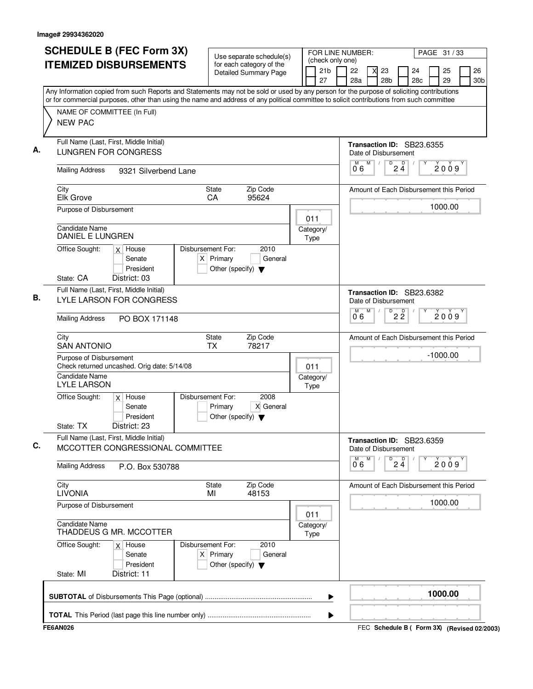| <b>SCHEDULE B (FEC Form 3X)</b>                                                                                                                                                                                                                                                        |                      |                                                                          | Use separate schedule(s)                                 |      | (check only one) | FOR LINE NUMBER:     |   |            |                      |                                         | PAGE 31 / 33 |                       |
|----------------------------------------------------------------------------------------------------------------------------------------------------------------------------------------------------------------------------------------------------------------------------------------|----------------------|--------------------------------------------------------------------------|----------------------------------------------------------|------|------------------|----------------------|---|------------|----------------------|-----------------------------------------|--------------|-----------------------|
| <b>ITEMIZED DISBURSEMENTS</b>                                                                                                                                                                                                                                                          |                      |                                                                          | for each category of the<br><b>Detailed Summary Page</b> |      | 21b<br>27        | 22<br>28a            |   | 23<br>28b  |                      | 24<br>28c                               | 25<br>29     | 26<br>30 <sub>b</sub> |
| Any Information copied from such Reports and Statements may not be sold or used by any person for the purpose of soliciting contributions<br>or for commercial purposes, other than using the name and address of any political committee to solicit contributions from such committee |                      |                                                                          |                                                          |      |                  |                      |   |            |                      |                                         |              |                       |
| NAME OF COMMITTEE (In Full)<br><b>NEW PAC</b>                                                                                                                                                                                                                                          |                      |                                                                          |                                                          |      |                  |                      |   |            |                      |                                         |              |                       |
| Full Name (Last, First, Middle Initial)<br>А.<br><b>LUNGREN FOR CONGRESS</b>                                                                                                                                                                                                           |                      |                                                                          |                                                          |      |                  | Date of Disbursement | M | $\sqrt{ }$ | $\overline{D}$       | Transaction ID: SB23.6355               |              |                       |
| <b>Mailing Address</b>                                                                                                                                                                                                                                                                 | 9321 Silverbend Lane |                                                                          |                                                          |      |                  | 06                   |   |            | $2\frac{D}{4}$       |                                         | 2009         |                       |
| City<br>Elk Grove                                                                                                                                                                                                                                                                      |                      | <b>State</b><br>CA                                                       | Zip Code<br>95624                                        |      |                  |                      |   |            |                      | Amount of Each Disbursement this Period |              |                       |
| Purpose of Disbursement                                                                                                                                                                                                                                                                |                      |                                                                          |                                                          | 011  |                  |                      |   |            |                      |                                         | 1000.00      |                       |
| Candidate Name<br>DANIEL E LUNGREN                                                                                                                                                                                                                                                     |                      |                                                                          |                                                          | Type | Category/        |                      |   |            |                      |                                         |              |                       |
| Office Sought:<br>$x$ House<br>Senate<br>President                                                                                                                                                                                                                                     |                      | Disbursement For:<br>$X$ Primary<br>Other (specify) $\blacktriangledown$ | 2010<br>General                                          |      |                  |                      |   |            |                      |                                         |              |                       |
| District: 03<br>State: CA<br>Full Name (Last, First, Middle Initial)<br>В.<br><b>LYLE LARSON FOR CONGRESS</b>                                                                                                                                                                          |                      |                                                                          |                                                          |      |                  | Date of Disbursement |   |            |                      | Transaction ID: SB23.6382               |              |                       |
| <b>Mailing Address</b><br>PO BOX 171148                                                                                                                                                                                                                                                |                      |                                                                          |                                                          |      |                  | м<br>06              | M |            | D<br>$2\overline{2}$ |                                         | 2009         |                       |
| City<br><b>SAN ANTONIO</b>                                                                                                                                                                                                                                                             |                      | <b>State</b><br>ТX                                                       | Zip Code<br>78217                                        |      |                  |                      |   |            |                      | Amount of Each Disbursement this Period |              |                       |
| Purpose of Disbursement<br>Check returned uncashed. Orig date: 5/14/08<br><b>Candidate Name</b>                                                                                                                                                                                        |                      |                                                                          |                                                          | 011  | Category/        |                      |   |            |                      |                                         | $-1000.00$   |                       |
| <b>LYLE LARSON</b><br>Office Sought:<br>$x$ House                                                                                                                                                                                                                                      |                      | Disbursement For:                                                        | 2008                                                     | Type |                  |                      |   |            |                      |                                         |              |                       |
| Senate<br>President<br>District: 23<br>State: TX                                                                                                                                                                                                                                       |                      | Primary<br>Other (specify) $\blacktriangledown$                          | X General                                                |      |                  |                      |   |            |                      |                                         |              |                       |
| Full Name (Last, First, Middle Initial)<br>C.<br>MCCOTTER CONGRESSIONAL COMMITTEE                                                                                                                                                                                                      |                      |                                                                          |                                                          |      |                  | Date of Disbursement |   |            |                      | Transaction ID: SB23.6359               |              |                       |
| <b>Mailing Address</b><br>P.O. Box 530788                                                                                                                                                                                                                                              |                      |                                                                          |                                                          |      |                  | м<br>06              | M |            | $\overline{24}$      |                                         | 2009         |                       |
| City<br><b>LIVONIA</b>                                                                                                                                                                                                                                                                 |                      | <b>State</b><br>MI                                                       | Zip Code<br>48153                                        |      |                  |                      |   |            |                      | Amount of Each Disbursement this Period |              |                       |
| Purpose of Disbursement                                                                                                                                                                                                                                                                |                      |                                                                          |                                                          | 011  |                  |                      |   |            |                      |                                         | 1000.00      |                       |
| <b>Candidate Name</b><br>THADDEUS G MR. MCCOTTER                                                                                                                                                                                                                                       |                      |                                                                          |                                                          | Type | Category/        |                      |   |            |                      |                                         |              |                       |
| Office Sought:<br>$x$ House<br>Senate<br>President                                                                                                                                                                                                                                     |                      | Disbursement For:<br>$X$ Primary<br>Other (specify) $\blacktriangledown$ | 2010<br>General                                          |      |                  |                      |   |            |                      |                                         |              |                       |
| State: MI<br>District: 11                                                                                                                                                                                                                                                              |                      |                                                                          |                                                          |      |                  |                      |   |            |                      |                                         |              |                       |
|                                                                                                                                                                                                                                                                                        |                      |                                                                          |                                                          |      | ▶                |                      |   |            |                      |                                         | 1000.00      |                       |
|                                                                                                                                                                                                                                                                                        |                      |                                                                          |                                                          |      | ▶                |                      |   |            |                      |                                         |              |                       |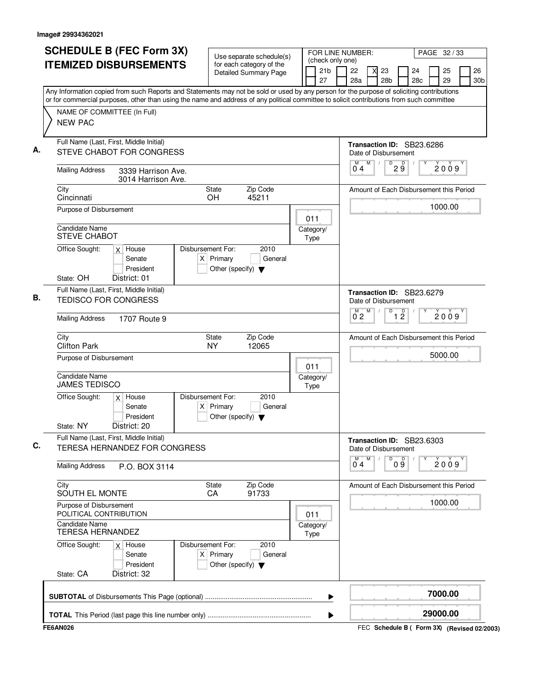| <b>SCHEDULE B (FEC Form 3X)</b><br><b>ITEMIZED DISBURSEMENTS</b>                                                                                                                                                                                                                       | Use separate schedule(s)<br>for each category of the                                        | (check only one)         | FOR LINE NUMBER:                                            |                                 | PAGE 32/33 |           |
|----------------------------------------------------------------------------------------------------------------------------------------------------------------------------------------------------------------------------------------------------------------------------------------|---------------------------------------------------------------------------------------------|--------------------------|-------------------------------------------------------------|---------------------------------|------------|-----------|
|                                                                                                                                                                                                                                                                                        | <b>Detailed Summary Page</b>                                                                | 21 <sub>b</sub><br>27    | 22<br>23<br>28a<br>28 <sub>b</sub>                          | 24<br>28c                       | 25<br>29   | 26<br>30b |
| Any Information copied from such Reports and Statements may not be sold or used by any person for the purpose of soliciting contributions<br>or for commercial purposes, other than using the name and address of any political committee to solicit contributions from such committee |                                                                                             |                          |                                                             |                                 |            |           |
| NAME OF COMMITTEE (In Full)<br><b>NEW PAC</b>                                                                                                                                                                                                                                          |                                                                                             |                          |                                                             |                                 |            |           |
| Full Name (Last, First, Middle Initial)<br>STEVE CHABOT FOR CONGRESS                                                                                                                                                                                                                   |                                                                                             |                          | Transaction ID: SB23.6286<br>Date of Disbursement           |                                 |            |           |
| <b>Mailing Address</b><br>3339 Harrison Ave.<br>3014 Harrison Ave.                                                                                                                                                                                                                     |                                                                                             |                          | M<br>М<br>$\sqrt{2}$<br>04                                  | $D$ <sub>2</sub> $\overline{9}$ | 2009       |           |
| City<br>Cincinnati                                                                                                                                                                                                                                                                     | Zip Code<br>State<br>45211<br>OH                                                            |                          | Amount of Each Disbursement this Period                     |                                 |            |           |
| Purpose of Disbursement                                                                                                                                                                                                                                                                |                                                                                             | 011                      |                                                             |                                 | 1000.00    |           |
| <b>Candidate Name</b><br><b>STEVE CHABOT</b>                                                                                                                                                                                                                                           |                                                                                             | Category/<br>Type        |                                                             |                                 |            |           |
| Office Sought:<br>$x$ House<br>Senate<br>President                                                                                                                                                                                                                                     | Disbursement For:<br>2010<br>$X$ Primary<br>General<br>Other (specify) $\blacktriangledown$ |                          |                                                             |                                 |            |           |
| State: OH<br>District: 01                                                                                                                                                                                                                                                              |                                                                                             |                          |                                                             |                                 |            |           |
| Full Name (Last, First, Middle Initial)<br><b>TEDISCO FOR CONGRESS</b>                                                                                                                                                                                                                 |                                                                                             |                          | Transaction ID: SB23.6279<br>Date of Disbursement<br>M<br>D |                                 |            |           |
| <b>Mailing Address</b><br>1707 Route 9                                                                                                                                                                                                                                                 |                                                                                             |                          | $\overline{0}^M$ 2                                          | $\overline{1}$ $\overline{2}$   | 2009       |           |
| City<br><b>Clifton Park</b>                                                                                                                                                                                                                                                            | State<br>Zip Code<br><b>NY</b><br>12065                                                     |                          | Amount of Each Disbursement this Period                     |                                 |            |           |
| Purpose of Disbursement                                                                                                                                                                                                                                                                |                                                                                             | 011                      |                                                             |                                 | 5000.00    |           |
| <b>Candidate Name</b><br><b>JAMES TEDISCO</b>                                                                                                                                                                                                                                          |                                                                                             | Category/<br>Type        |                                                             |                                 |            |           |
| Office Sought:<br>$x$ House<br>Senate<br>President                                                                                                                                                                                                                                     | Disbursement For:<br>2010<br>$X$ Primary<br>General<br>Other (specify) $\blacktriangledown$ |                          |                                                             |                                 |            |           |
| State: NY<br>District: 20<br>Full Name (Last, First, Middle Initial)<br>TERESA HERNANDEZ FOR CONGRESS                                                                                                                                                                                  |                                                                                             |                          | Transaction ID: SB23.6303<br>Date of Disbursement           |                                 |            |           |
| <b>Mailing Address</b><br>P.O. BOX 3114                                                                                                                                                                                                                                                |                                                                                             |                          | M<br>D<br>M<br>04                                           | 09                              | 2009       |           |
| City<br>SOUTH EL MONTE                                                                                                                                                                                                                                                                 | Zip Code<br>State<br>91733<br>CA                                                            |                          | Amount of Each Disbursement this Period                     |                                 |            |           |
| Purpose of Disbursement<br>POLITICAL CONTRIBUTION                                                                                                                                                                                                                                      |                                                                                             | 011                      |                                                             |                                 | 1000.00    |           |
| Candidate Name<br><b>TERESA HERNANDEZ</b>                                                                                                                                                                                                                                              |                                                                                             | Category/<br><b>Type</b> |                                                             |                                 |            |           |
| Office Sought:<br>$x$ House<br>Senate<br>President                                                                                                                                                                                                                                     | Disbursement For:<br>2010<br>$X$ Primary<br>General<br>Other (specify) $\blacktriangledown$ |                          |                                                             |                                 |            |           |
| District: 32<br>State: CA                                                                                                                                                                                                                                                              |                                                                                             |                          |                                                             |                                 |            |           |
|                                                                                                                                                                                                                                                                                        |                                                                                             | ▶                        |                                                             |                                 | 7000.00    |           |
|                                                                                                                                                                                                                                                                                        |                                                                                             | ▶                        |                                                             |                                 | 29000.00   |           |